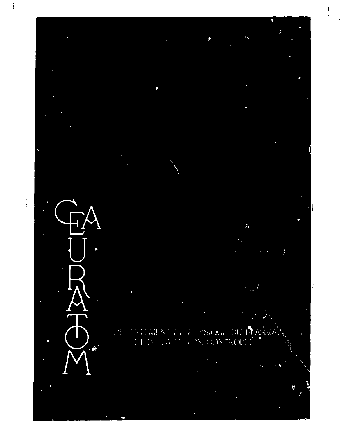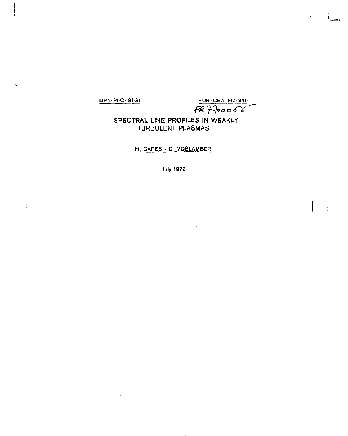**DPh-PFC-STGI** EUR-CEA-FC-840

## **SPECTRAL LINE PROFILES IN WEAKLY TURBULENT PLASMAS**

**H, CAPES • D. VOSLAMBER** 

**July 1978**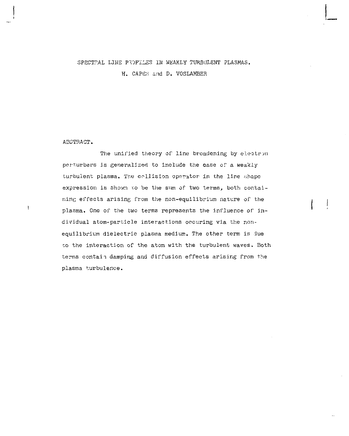### SPECTPAL LINE PROFILES IN WEAKLY TURBULENT PLASMAS.

H. CAPES and D. VOSLAMBER

### ABSTRACT.

ï

The unified theory of line broadening by electron perturbers is generalized to include the case of a weakly turbulent plasma. The collision operator in the line shape expression is shown to be the sum of two terms, both containing effects arising from the non-equilibrium nature of the plasma. One of the two terms represents the influence of individual atom-particle interactions occuring via the nonequilibrium dielectric plasma medium. The other term is due co the interaction of the atom with the turbulent waves. Both terms contai*i* damping and diffusion effects arising from the plasma turbulence.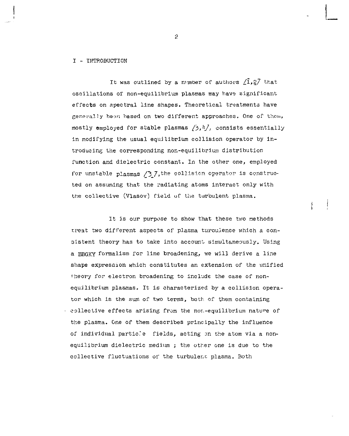#### I - IPROBUCTION

It was outlined by a number of authors  $\sqrt{1},\frac{2}{3}$  that oscillations of non-equilibrium plasmas may have significant effects on spectral line shapes. Theoretical treatments have generally *heon* hased on two different approaches. One of them, mostly employed for stable plasmas  $(3,4)$ , consists essentially in modifying the usual equilibrium collision operator by introducing the corresponding non-equilibrium distribution function and dielectric constant. In the other one, employed for unstable plasmas  $/3$  7, the collision operator is constructed on assuming that the radiating atoms interact only with the collective (Vlasov) field of the turbulent plasma.

It is our purpose to show that these two methods treat two different aspects of plasma turoulence which a consistent theory has to take into account simultaneously. Using a BBGKY formalism for line broadening, we will derive a line shape expression which constitutes an extension of the unified theory for electron broadening to include the case of nonequilibrium plasmas. It is characterized by a collision operator which is the sum of two terms, both of them containing collective effects arising from the nor.-equilibrium nature of the plasma. One of them describes principally the influence of individual particle fields, acting on the atom via a nonequilibrium dielectric medium ; the other one is due to the collective fluctuations of the turbulenr. plasma. Both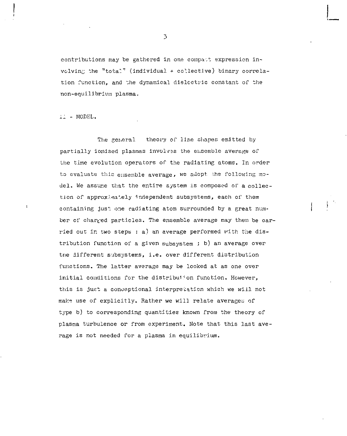contributions may be gathered in one compatt expression involving the "total" (individual + collective) binary correlation function, and the dynamical dielectric constant or the non-equilibrium plasma.

il - MODEL.

The general theory of line shapes emitted by partially ionised plasmas involves the ensemble average of the time evolution operators of the radiating atoms. In order to evaluate this  $e$ nsemble average, we adopt the following model. We assume that the entire system is composed of a collection of approximately independent subsystems, each of them containing just one radiating atom surrounded by a great number of charged particles. The ensemble average may then be carried out in two steps : a) an average performed with the distribution function of a given subsystem ; b) an average over tne different subsystems, i.e. over different distribution functions. The latter average may be looked at as one over initial conditions for the distribution function. However, this is just a conceptional interpretation which we will not make use of explicitly. Rather we will relate averages of type b) to corresponding quantities known from the theory of plasma turbulence or from experiment. Note that this last average is not needed for a plasma in equilibrium.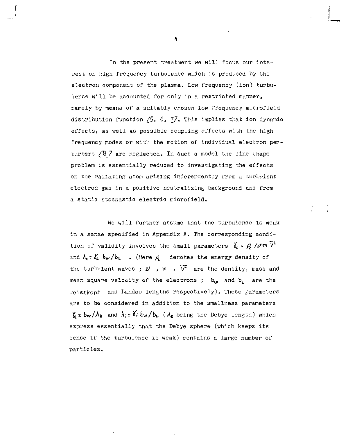In the present treatment we will focus our interest on high frequency turbulence which is produced by the electron component of the plasma. Low frequency (ion) turbulence will be accounted for only in a restricted manner, namely by means of a suitably chosen low frequency microfield distribution function  $/5$ , 6,  $7/$ . This implies that ion dynamic effects, as well as possible coupling effects with the high frequency modes or with the motion of individual electron perturbers /B 7 are neglected. In such a model the line thape problem is essentially reduced to investigating the effects on the radiating atom arising independently from a turbulent electron gas in a positive neutralizing background and from a static stochastic electric microfield.

We will further assume that the turbulence is weak in a sense specified in Appendix A. The corresponding condition of validity involves the small parameters  $\delta_c$  =  $\rho$  /*J*  $\ll$   $V^*$ and  $\lambda_c$  =  $\delta_c$  bw/b<sub>i</sub>. (Here  $\rho_c$  denotes the energy density of the turbulent waves ;  $\nu$  , m ,  $\overline{v^2}$  are the density, mass and mean square velocity of the electrons;  $b_w$  and  $b$ , are the V.'eisskopf and Landau lengths respectively). These parameters are to be considered in addition to the smallness parameters  $\delta_i = b_w / \lambda_B$  and  $\lambda_i = \delta_i b_w / b_u$  ( $\lambda_B$  being the Debye length) which express essentially that the Debye sphere (which keeps its sense if the turbulence is weak) contains a large number of particles.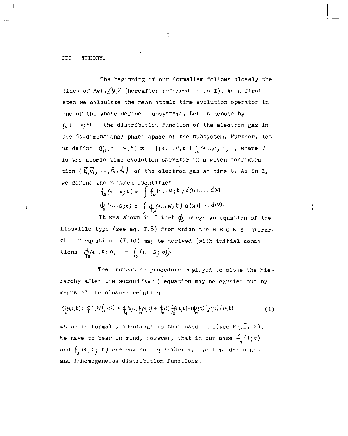III " THEORY.

 $\mathbf{I}$ 

The beginning of our formalism follows closely the lines of Ref./ $\frac{3}{7}$  (hereafter referred to as I). As a first step we calculate the mean atomic time evolution operator in one of the above defined subsystems. Let us denote by  $f_N(1...n;t)$  the distributic. function of the electron gas in the 6N-dimensional phase space of the subsystem. Further, let us define  $\oint_N (1 \dots N_f t) = T(1 \dots N_f t) \oint_U (1 \dots N_f t)$ , where T is the atomic time evolution operator in a given configuration  $(\vec{r}, \vec{v}_1, \dots, \vec{r}_\kappa, \vec{v}_\kappa)$  of the electron gas at time t. As in I, we define the reduced quantities

 $f_s(1...s_j t) = \int f_w(1...N; t) d(s+1)... d(N).$  $\phi_{s}(4...s,t) = \int \phi_{M}$ (*A*...*N*; t) d(s+1)...d(*N*).

It was shown in I that *(p* obeys an equation of the Liouville type (see eq.  $I.8$ ) from which the B B G K Y hierarchy of equations (1.10) may be derived (with initial conditions  $\phi$ {*i...*s*;*  $\phi$ } =  $\int_{c}$  {*i...*s*;*  $\phi$ }}.

The truncation procedure employed to close the hierarchy after the second *(s-t )* equation may be carried out by means of the closure relation

$$
\oint_{2} (t_{i}z_{j}t) = \oint_{1} (t_{j}t) \oint_{1} (z_{j}t) + \oint_{4} (z_{j}t) \oint_{1} (t_{j}t) + \oint_{a} (t) \oint_{2} (t_{i}z_{j}t) - 2 \oint_{0} (t) \oint_{1} (t_{j}t) \oint_{1} (z_{j}t)
$$
 (1)

which is formally identical to that used in I(see Eq.1.12). We have to bear in mind, however, that in our case  $f_1(1;t)$ and  $f(x)$  (1,2;  $x$ ) are now non-equilibrium, i.e time dependant and inhomogeneous distribution functions.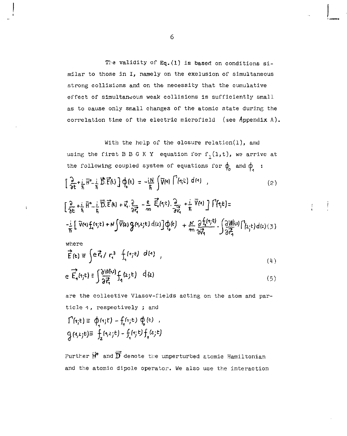The validity of  $Eq. (1)$  is based on conditions similar to those in I, namely on the exclusion of simultaneous strong collisions and on the necessity that the cumulative effect of simultaneous weak collisions is sufficiently small as to cause only small changes of the atomic state during the correlation time of the electric microfield (see Appendix A).

With the help of the olosure relatlon(l), and using the first B B G K Y equation for  $f_1(1,t)$ , we arrive at the following coupled system of equations for  $\phi$  and  $\phi$  :

$$
\left[\frac{\partial}{\partial t}+\frac{i}{\hbar}\vec{H}^{o}-\frac{i}{\hbar}\vec{D}\vec{E}(t)\right]\Phi_{\!\!p}(t) = -\frac{iN}{\hbar}\int\!\!\!\nabla\!\left(\vec{q}\right)\left[\vec{H}(t)\right]d\left(\vec{q}\right) \quad , \tag{2}
$$

$$
\left[\frac{2}{3t}+\frac{i}{\hbar}\vec{H}^o-\frac{i}{\hbar}\vec{D}.\vec{E}(t)+\vec{v}_s.\frac{2}{3t_s^2}-\frac{e}{m}\vec{E}_s(t_1t).\frac{2}{3t_s^3}+\frac{i}{\hbar}\vec{V}(t)\right]\vec{V}(t_1t)=\\-\frac{i}{\hbar}\left[\vec{V}(t)\hat{f}_s(t_1t)+N\left(\vec{V}(z)\hat{g}(t_1,t_2t)\,dt_2\right)\hat{g}_s(t)+\frac{N}{m}\frac{2\hat{f}_s(t_1t)}{3t_s^3}.\left(\frac{3W(s)}{2t_s^2}\right)^2(t_2+t)dt_2\right)(3)
$$

Ţ

where

 $\mathbf{i}$ 

$$
\vec{E}(\mathbf{t}) \equiv \int e \vec{f}_1 / r_1^3 \int_{\gamma} (r_1 t) d\mathbf{t}
$$
 (4)

$$
e \overrightarrow{E}_1(t_1t) = \int \frac{\partial W(t_1)}{\partial \overrightarrow{t_1}} f_1(z_1t) \, d(z) \tag{5}
$$

are the collective Vlasov-fields acting on the atom and particle 1, respectively ; and  $\Gamma(\mathbf{a};\mathbf{t})\equiv \phi(\mathbf{a};\mathbf{t})-\mathbf{f}(\mathbf{a};\mathbf{t})\ \phi_{\mathbf{e}}(\mathbf{t})\ ,$  $q_{(4,2,5)} = f_2(1,2,5) - f_1(1,5) f_1(2,5)$ 

Further  $\overrightarrow{H}^{\bullet}$  and  $\overrightarrow{D}$  denote the unperturbed atomic Hamiltonian and the atomic dipole operator. We also use the interaction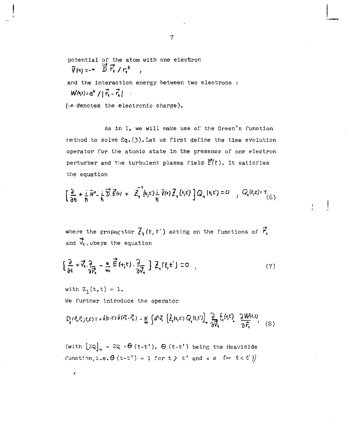potential of the atom with one electron  $\overrightarrow{V}(q) = -\sum_{i=1}^{n} \overrightarrow{r}_i / r_i^3$ ,

and the interaction energy between two electrons :  $W(\nu)=e^{2}/|\vec{F}_{1}-\vec{r}_{2}|$ 

(-e denotes the electronic charge).

As in I, we will make use of the Green's function nethod to solve Eq.(3).Let us first define the time evolution operator for the atomic state in the presence of one electron perturber and the turbulent plasma field  $\vec{F}(t)$ . It satisfies the equation

$$
\left[\frac{\partial}{\partial t} + \frac{i}{\hbar} \bar{H}^{\circ} - \frac{i}{\hbar} \overrightarrow{D} \cdot \vec{E}^{(k)} + \bar{Z}_{4}^{\dagger} (k_{j}k_{j}) \frac{i}{\hbar} \overrightarrow{V}(k_{j}) \overrightarrow{Z}_{4} (k_{j}k_{j}) \right] Q_{4} (k_{j}k_{j}) = 0 \quad , \quad Q_{4}(k_{j}k_{j}) = 1 \tag{6}
$$

where the propagator  $\vec{f}_1(t, t')$  acting on the functions of  $\vec{f}_1$ and  $\vec{v}_1$ , obeys the equation

$$
\left[\frac{2}{3c} + \vec{v}_1 \cdot \frac{2}{3\vec{r}_1} - \frac{6}{m} \vec{f}_1^2(r_1, t) \cdot \frac{2}{3\vec{v}_1}\right] \vec{Z}_1(r_1, t') = 0 \quad , \tag{7}
$$

with  $Z_1(t,t) = 1$ . We further introduce the operator

$$
D_{\mathbf{r}}(\vec{r}_i, \vec{r}_i, t, t) = 2\delta(t - t^*) \delta(\vec{r}_i^2 - \vec{r}_i^2) - \frac{M}{m} \int d^3 \vec{v}_i \left[ \vec{Z}_i(\mathbf{r}, t^*) Q_i(\mathbf{r}, t^*) \right]_+ \frac{\partial}{\partial \vec{v}_i} f_i(\mathbf{r}, t^*) \frac{\partial W(\mathbf{r}, \mathbf{r})}{\partial \vec{r}_i}, \quad (8)
$$

(with  $\lfloor z \mathsf{Q} \rfloor_+ = z \mathsf{Q} \cdot \Theta$  (t-t'),  $\Theta$  (t-t') being the Heaviside function,i.e. $\Theta$  (t-t') = 1 for t  $\rangle$  t' and = 0 for t< t'))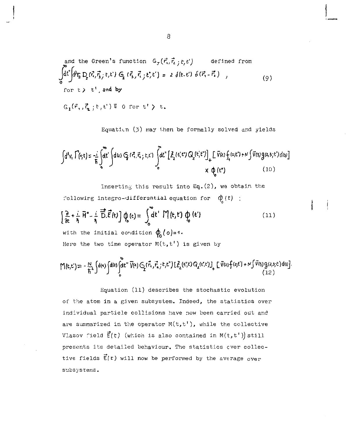and the Green's function 
$$
G_{\tau}(\vec{r_1}, \vec{r_2}; t, t')
$$
 defined from  
\n
$$
\int_0^{\vec{a}} \mathrm{d}t' \int_0^{\vec{b}} \mathrm{d}\vec{r_3} D_{\vec{b}}(\vec{r_1}, \vec{r_3}; t, t') G_{\vec{b}}(\vec{r_3}, \vec{r_1}; t', t') = 2 \delta(t, t') \delta(\vec{r_1} - \vec{r_3}) ,
$$
\nfor t > t', and by

 $G_i(\vec{r}, \vec{r}, t; t) \equiv 0$  for  $t' > t$ .

Equation (3) may then be formally solved and yields

$$
\int d^3v, \Gamma(r, t) = \frac{1}{\hbar} \int d^2t' \int d^2t \mathfrak{S} \left( r^2, \vec{r_1}, r, t \right) \int_0^{\infty} d^2t'' \left[ \vec{A}_2(t', t') Q_2(t', t'') \right]_+ \left[ \nabla(\varepsilon) \oint_{\tau} (z_1(t') + N \int \vec{V}(3) g(z_1, s_1(t')) \, d\omega) \right] \times \varphi_0(t'')
$$
\n(10)

Inserting this result into  $Eq. (2)$ , we obtain the following integro-differential equation for  $\phi(t)$  ;

$$
\left[\frac{\partial}{\partial t} + \frac{i}{\eta} \overrightarrow{H}^{\circ} - \frac{i}{\eta} \overrightarrow{\overrightarrow{D}} \cdot \overrightarrow{E}(t)\right] \phi_{\rho}(t) = \int_{0}^{t} dt' \ \mathcal{M}(t, t') \ \phi_{\rho}(t')
$$
\n(11)

Here the two time operator  $M(t, t')$  is given by

$$
M(t,t') = -\frac{N}{\hbar} \int d(n) \int d(x) \int d^{n''} \bar{V}(x) G_1(\vec{r}, \vec{r}, t, t') [\bar{Z}_2(t, t') G_2(t, t')] \int \bar{V}(z) f(z, t') + N \int \bar{V}(z) g(z, z, t') d\omega].
$$
\n(12)

Equation (11) describes the stochastic evolution of the atom in a given subsystem. Indeed, the statistics over individual particle collisions have now been carried out and are summarized in the operator  $M(t,t^+)$ , while the collective Vlasov field  $\vec{E}(t)$  (which is also contained in  $M(t,t')$ ) still presents its detailed behaviour. The statistics ever collective fields  $\vec{E}(t)$  will now be performed by the average over subsystems.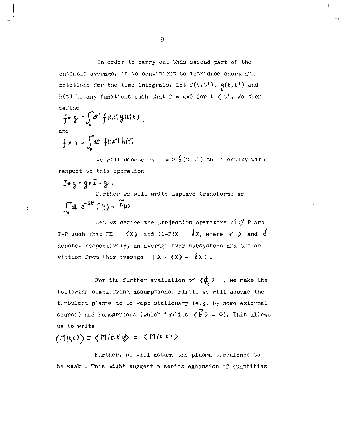In order to carry out this second part of the ensemble average, it is convenient to introduce shorthand notations for the time integrals. Let  $f(t,t')$ ,  $g(t,t')$  and  $r(t)$  be any functions such that  $f = g = 0$  for  $t \le t'$ . We then define

$$
\oint \bullet \quad \oint = \int_0^\infty dt'' \oint (t,t') \oint (t') \ t' \ ,
$$
  
and  

$$
\oint \bullet \quad h = \int_0^\infty dt' \oint (t,t'') \ h(t')
$$

ÿ

We will denote by  $I = 2 \delta(t-t')$  the identity wit. respect to this operation

$$
I * g = g * I = g
$$
  
Further we will write Laplace transforms as  

$$
\int_0^\infty dt e^{-st} F(t) = \widetilde{F}(s)
$$

Let us define the projection operators /Ic7 *P* and I-P such that PX =  $\langle X \rangle$  and  $(1-P)X = \delta X$ , where  $\langle \rangle$  and  $\delta$ denote; respectively, an average over subsystems and the deviation from this average  $(X = \langle X \rangle + \delta X)$ .

For the further evaluation of  $\langle \phi \rangle$ , we make the following simplifying assumptions. First, we will assume the turbulent plasma to be kept stationary (e.g.. by some external source) and homogenecus (which implies  $\langle \vec{f} \rangle$  = 0). This allows us to write

$$
\langle M(t,t')\rangle = \langle M(t\cdot t')\rangle = \langle M(t\cdot t')\rangle
$$

Further, we will assume the plasma turbulence to be weak . This might suggest a series expansion of quantities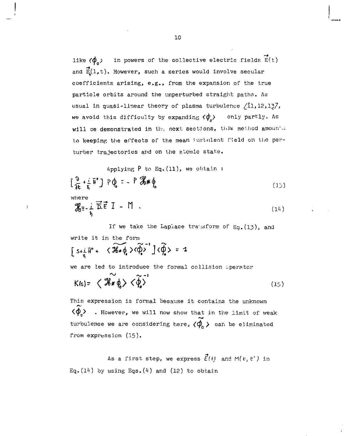like  $\langle \phi_{o} \rangle$  in powers of the collective electric fields  $\vec{E}(t)$ and  $\vec{E}(1,t)$ . However, such a series would involve secular coefficients arising, e.g., from the expansion of the true particle orbits around the unperturbed straight paths. As usual in quasi-linear theory of plasma turbulence  $/11,12,127$ we avoid this difficulty by expanding  $\langle \phi_{\rho} \rangle$  only partly. As will be demonstrated in the next sections, this method amounter to keeping the effects of the mean turbulent field on the perturber trajectories and on the atomic state.

Applying P to Eq.(ll), we obtain :  $\left[\frac{9}{2r}+\frac{1}{r} {\bar H}^* \right] P \phi_c = -P \mathcal{B} * \phi_c$  (15) (14)  $\mathcal{X} = \pm \overrightarrow{D} \cdot \overrightarrow{E} = I - M$ .

If we take the Laplace transform of Eq.  $(13)$ , and write it in the form  $\left[5+\frac{1}{2}\hat{H}^{\circ}+\sqrt{36}\cdot\hat{\phi}\cdot\sqrt{\hat{\phi}}\cdot\right]$   $\langle \hat{\phi}\rangle = 1$ we are led to introduce the formal collision operator  $K(s) = \langle \mathcal{K} * \phi \rangle \langle \phi \rangle$  (15)

This expression is formal because it contains the unknovm  $\langle \phi_{n} \rangle$  . However, we will now show that in the limit of weak turbulence we are considering here,  $\langle \phi_{\alpha} \rangle$  can be eliminated from expression (15).

As a first step, we express  $\vec{E}(t)$  and M( $t, t'$ ) in Eq.  $(14)$  by using Eqs.  $(4)$  and  $(12)$  to obtain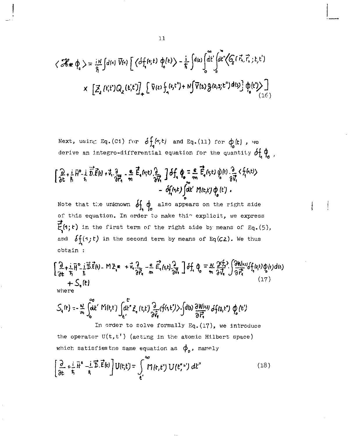$$
\langle \mathcal{H} * \varphi_{e} \rangle = \frac{i}{\hbar} \int d^{(4)} \overline{V}(4) \left[ \langle d f_{i}^{(4)}(t) \varphi_{e}^{(t)} \rangle - \frac{i}{\hbar} \int d^{(2)} \int d^{(4)} \langle d^{(4)} \langle f_{i}, \vec{r}_{i}, \vec{r}_{i} \rangle f_{i}^{(t)} \rangle \right] \times \left[ \mathcal{Z}_{2} (t_{i}^{(4)} \mathcal{Q}_{2} (t_{i}^{(4)} \mathcal{I}_{2}) \right] \left[ \nabla(t) \int_{t} (s_{i} t^{n}) + N \int \overline{V}(s) \mathcal{G}(s, s) t^{n} \right] d^{(5)} \right] \varphi_{e} (t^{n}) \Big]
$$

Next, using Eq.(C1) for  $\delta f_4(r,t)$  and Eq.(11) for  $\phi_2(t)$ , we derive an integro-differential equation for the quantity  $\delta f \phi$ <sub>1</sub>

$$
\left[\frac{2}{3t}+\frac{i}{\hbar}B^2-\frac{i}{\hbar}\frac{\vec{D}\cdot\vec{E}(t)}{\vec{D}\cdot\vec{E}}+X_1\frac{3}{3t^2}-\frac{e}{\hbar}\frac{\vec{E}_4(t_1t_2)}{3t^2}-\frac{2}{3t^2}\frac{\vec{D}_4(t_1t_2)}{3t^2}-\frac{2}{3t^2}\frac{\vec{E}_4(t_1t_2)}{3t^2}+\frac{e}{3t^2}\frac{\vec{E}_4(t_1t_2)}{3t^2}+\frac{e}{3t^2}\frac{\vec{E}_4(t_1t_2)}{3t^2}+\frac{e}{3t^2}\frac{\vec{E}_4(t_1t_2)}{3t^2}+\frac{e}{3t^2}\frac{\vec{E}_4(t_1t_2)}{3t^2}+\frac{e}{3t^2}\frac{\vec{E}_4(t_1t_2)}{3t^2}+\frac{e}{3t^2}\frac{\vec{E}_4(t_1t_2)}{3t^2}+\frac{e}{3t^2}\frac{\vec{E}_4(t_1t_2)}{3t^2}+\frac{e}{3t^2}\frac{\vec{E}_4(t_1t_2)}{3t^2}+\frac{e}{3t^2}\frac{\vec{E}_4(t_1t_2)}{3t^2}+\frac{e}{3t^2}\frac{\vec{E}_4(t_1t_2)}{3t^2}+\frac{e}{3t^2}\frac{\vec{E}_4(t_1t_2)}{3t^2}+\frac{e}{3t^2}\frac{\vec{E}_4(t_1t_2)}{3t^2}+\frac{e}{3t^2}\frac{\vec{E}_4(t_1t_2)}{3t^2}+\frac{e}{3t^2}\frac{\vec{E}_4(t_1t_2)}{3t^2}+\frac{e}{3t^2}\frac{\vec{E}_4(t_1t_2)}{3t^2}+\frac{e}{3t^2}\frac{\vec{E}_4(t_1t_2)}{3t^2}+\frac{e}{3t^2}\frac{\vec{E}_4(t_1t_2)}{3t^2}+\frac{e}{3t^2}\frac{\vec{E}_4(t_1t_2)}{3t^2}+\frac{e}{3t^2}\frac{\vec{E}_4(t_1t_2)}{3t^2}+\frac{e}{3t^2}\frac{\vec{E}_4(t_1t_2)}{3t^2}+\frac{
$$

Note that the unknown  $\delta f$ ,  $\phi$  also appears on the right side of this equation. In order to make thi^ explicit, we express 7a.  $E(\mathcal{F})$  in the first term of the first term of the right side by means of  $E(\mathcal{F})$ and  $\delta f_i(\cdot,t)$  in the second term by means of Eq(C2). We thus obtain :

$$
\begin{bmatrix} 2 + i \frac{1}{2} \frac{1}{2} - i \frac{1}{2} \vec{b} \cdot \vec{t}(t) = M \Sigma_{\vec{a}} \ \ + \ \nabla_1 \frac{2}{3} \vec{b} \ \ + \ \nabla_2 \left( 1 + \frac{1}{2} \frac{1}{2} \vec{b} \right) \ \ + \ \nabla_3 \left( 1 + \frac{1}{2} \frac{1}{2} \vec{b} \right) \ \ + \ \nabla_4 \left( 1 + \frac{1}{2} \frac{1}{2} \vec{b} \right) \ \ + \ \nabla_5 \left( 1 + \frac{1}{2} \frac{1}{2} \vec{b} \right) \ \ + \ \nabla_6 \left( 1 + \frac{1}{2} \frac{1}{2} \vec{b} \right) \ \ + \ \nabla_7 \left( 1 + \frac{1}{2} \frac{1}{2} \vec{b} \right) \ \ + \ \nabla_8 \left( 1 + \frac{1}{2} \frac{1}{2} \vec{b} \right) \ \ + \ \nabla_9 \left( 1 + \frac{1}{2} \frac{1}{2} \vec{b} \right) \ \ + \ \nabla_9 \left( 1 + \frac{1}{2} \frac{1}{2} \vec{b} \right) \ \ + \ \nabla_9 \left( 1 + \frac{1}{2} \frac{1}{2} \vec{b} \right) \ \ + \ \nabla_9 \left( 1 + \frac{1}{2} \frac{1}{2} \vec{b} \right) \ \ + \ \nabla_9 \left( 1 + \frac{1}{2} \frac{1}{2} \vec{b} \right) \ \ + \ \nabla_9 \left( 1 + \frac{1}{2} \frac{1}{2} \vec{b} \right) \ \ + \ \nabla_9 \left( 1 + \frac{1}{2} \frac{1}{2} \vec{b} \right) \ \ + \ \nabla_9 \left( 1 + \frac{1}{2} \frac{1}{2} \vec{b} \right) \ \ + \ \nabla_9 \left( 1 + \frac{1}{2} \frac{1}{2} \vec{b} \right) \ \ + \ \nabla_9 \left( 1 + \frac{1}{2} \frac{1}{2} \vec{b} \right) \ \ + \ \nabla_9 \left( 1 + \frac{1}{2} \frac{1}{2} \vec{b}
$$

$$
S_{\epsilon}(t) = -\frac{N}{m} \int_{0}^{\infty} dt' \text{ M}(t,t') \int_{\epsilon'}^{t} z_{\epsilon}(t,t') \frac{\partial}{\partial \vec{v}_{\epsilon}} \langle f(t,t') \rangle \cdot \int d\omega \frac{\partial W(t,a)}{\partial \vec{r}_{\epsilon}} df(a,t') \phi_{\epsilon}(t')
$$

In order to solve formally  $Eq. (17)$ , we introduce the operator  $U(t, t')$  (acting in the atomic Hilbert space) which satisfies tne same equation as  $\phi_o$ , namely

$$
\left[\frac{\partial}{\partial t} + \frac{i}{\hbar} \vec{h}^{\mathfrak{a}} - \frac{i}{\hbar} \vec{E}^{\mathfrak{a}} \vec{E} \right] U(t, t') = \int_{\epsilon'}^{\infty} \vec{M}(t, t'') U(t''', t') dt'' \tag{18}
$$

$$
^{11} \\
$$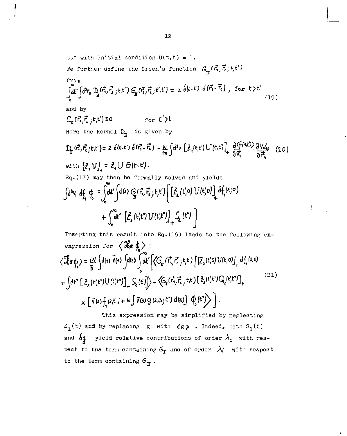but with initial condition 
$$
U(t,t) = 1
$$
.  
\nWe further define the Green's function  $G_{\underline{r}}(\vec{r}, \vec{r}_i; t, t')$   
\nfrom  
\n
$$
\int_{0}^{\infty} d\vec{r} \int d^{3}r_{3} D_{3}(\vec{r}_{1}, \vec{r}_{2}; t, t') G_{2}(\vec{r}_{3}, \vec{r}_{2}; t, t') = 2 \int (t \cdot t') \int (t \cdot \vec{r} - \vec{r}_{1}) \int \text{for } t > t'
$$
\n(19)  
\nand by  
\n
$$
G_{\underline{n}}(\vec{r}, \vec{r}_{1}, \vec{r}_{2}; t, t') = 0 \qquad \text{for } t' > t
$$
\nHere the learned  $D_{\underline{n}}$  is given by  
\n
$$
D_{\underline{n}}(\vec{r}, \vec{r}_{2}; t, t') = 2 \int (t \cdot t') \int (t \cdot \vec{r} - \vec{r}_{1}) - \frac{M}{m} \int d^{3}v \left[ \vec{L}_{1}(r, t') U(t, t') \right]_{+}^{\infty} \frac{\partial \int (t \cdot t') \partial W_{12}}{\partial \vec{r}_{1}} \quad (20)
$$
\nwith  $\left[ \vec{L}_{1} U \right]_{+} = \vec{L}_{1} U \theta(t \cdot t')$ .  
\nEq. (17) may then be formally solved and yields  
\n
$$
\int d^{3}v_{1} \int d_{1} \phi_{2} = \int d^{3}v \int d^{3}v \int d^{3}v \int \left[ \vec{L}_{2}(t') U(t' \cdot t') \right] \int d_{1}f(t' \cdot t') \left[ \left[ \vec{L}_{1}(t') U(t' \cdot t') \right]_{+}^{\infty} \int d_{1}f(t' \cdot t') \right] \quad + \int_{0}^{\infty} d^{3}v \left[ \vec{L}_{2}(t' \cdot t') U(t' \cdot t') \right]_{+}^{\infty} \int d_{1}f(t' \cdot t') \left[ \left[ \vec{L}_{1}(t' \cdot t') U(t' \cdot t') \right]_{+}^{\infty} \int d_{1}f(t' \cdot t') \right]
$$
\nTherefore, this result into Eq. (16) leads to the following ex-

Inserting this result into Eq.(l6) leads to the following exexpression for  $\langle \mathcal{X}, \phi \rangle$ :  $\langle \mathcal{J}_{\alpha}^{\beta} \phi \rangle = \frac{iN}{\hbar} \int dt \eta \, \bar{V}(\eta) \int dt \, \xi \int dt' \left[ \langle G_{\alpha}(\vec{r_{i}},\vec{r_{i}};t;t;t') \left[ [\xi_{2}(t',0) U(t',0)]_{+} d f_{4}(z,0) \right] \right]$  $(21)$  $+ \left\{\mathsf{d}t''\left[\begin{smallmatrix}\tilde{\epsilon}_2(t't'')U(t',t'')\end{smallmatrix}\right]_+ \zeta_2(t'')\right\} \sim \left\langle \mathsf{G}_2(\vec{r_1},\vec{r_2}\,;\,t,t'\right)\left[\begin{smallmatrix}\tilde{\epsilon}_2(t',t'')Q_2(t',t')\end{smallmatrix}\right]_+$  $\mathbf{X} = \left\{ \nabla(\mathbf{z}) \int_{\mathbf{z}} \left( \mathbf{z}, \mathbf{t}^{\prime\prime} \right) + N \int \nabla(\mathbf{z}) \mathbf{Q} \left( \mathbf{z}, \mathbf{z} \right) \mathbf{t}^{\prime\prime} \right\} \mathrm{d}(\mathbf{z}) \right\}$ 

This expression may be simplified by neglecting  $S_1(t)$  and by replacing g with  $\langle g \rangle$  . Indeed, both  $S_1(t)$ and  $\delta$ **q** yield relative contributions of order  $\lambda$ <sub>**c**</sub> with respect to the term containing  $6<sub>r</sub>$  and of order  $\lambda_i$  with respect to the term containing  $G_{\pi}$ .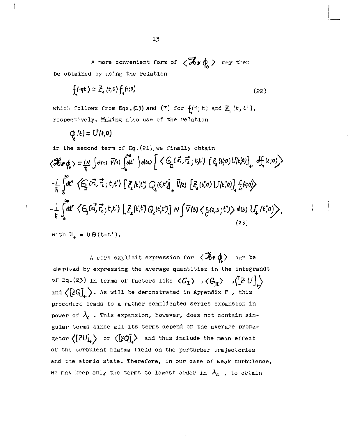A more convenient form of  $\langle \mathcal{L}_* \phi \rangle$  may then be obtained by using the relation

$$
f_1(\eta t) = \bar{Z}_1(t,0) f_1(\eta,0)
$$
 (22)

which follows from Eqs. (23) and (7) for  $f(1;t)$  and  $Z_i(t,t')$ , respectively. Making also use of the relation

$$
\varphi_{\mathbf{0}}(t)=\mathbf{U}(t,0)
$$

in the second term of Eq. (21), we finally obtain  
\n
$$
\langle \mathcal{H} * \phi \rangle = \frac{i\pi}{\hbar} \int d(t) \overline{V}(t) \int dt' \rangle d(t) \left[ \langle G_{\underline{r}}(\vec{r}, \vec{r}; t, t') [ \xi_{\underline{r}}(t, 0) U(t, 0) ] + \int_{\vec{r}} \langle \xi_{\underline{r}}(0) \rangle \right]
$$
  
\n $-\frac{i}{\hbar} \int_0^{\pi} dt'' \langle G_{\underline{r}}(\vec{r}, \vec{r}; t, t') [ \xi_{\underline{r}}(t, t') Q_{\underline{r}}(t, t') ] + \overline{V}(z) [ \xi_{\underline{r}}(t, 0) U(t, 0) ] + \int_{\vec{r}} \langle \xi_{\underline{r}}(0) \rangle$   
\n $-\frac{i}{\hbar} \int_0^{\pi} dt'' \langle G_{\underline{r}}(\vec{r}, \vec{r}; t, t') [ \xi_{\underline{r}}(t, t') Q_{\underline{r}}(t, t') ] \sqrt{\overline{V}(z)} \langle g(z, z, t') \rangle d(z) U_{\underline{r}}(t, 0) \rangle$ .

with  $U_{\perp} = U \Theta(t-t^{\dagger}).$ 

A nore explicit expression for  $\langle \mathcal{H} * \phi \rangle$  can be derived by expressing the average quantities in the integrands of Eq.(23) in terms of factors like  $\langle G_{\mathcal{I}} \rangle$  ,  $\langle G_{\mathcal{I}} \rangle$  ,  $\langle [Z U]_{\uparrow}$ and  $\langle [Z\Q] \rangle$ . As will be demonstrated in Appendix F, this procedure leads to a rather complicated series expansion in power of  $\lambda$ <sub>c</sub>. This expansion, however, does not contain singular terms since all its terms depend on the average propagator  $\langle [ZU]_+ \rangle$  or  $\langle [ZQ]_+ \rangle$  and thus include the mean effect of the borbulent plasma field on the perturber trajectories and the atomic state. Therefore, in our case of weak turbulence, we may keep only the terms to lowest order in  $\lambda_c$  , to obtain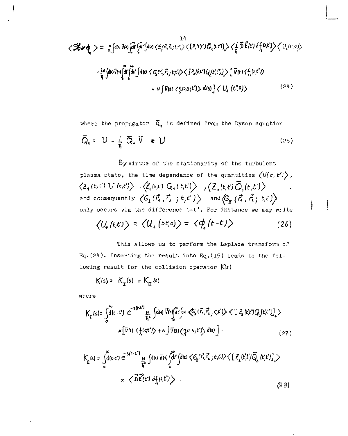$$
\langle \mathcal{H} \mathbf{x} \phi_{\mathbf{0}} \rangle = \frac{1}{\pi} \int d\omega \bar{v} \omega \int d\mathbf{r} \int d\omega \langle c_{\mathbf{0}}^{\alpha} c_{\alpha}^{\alpha} c_{\beta}^{\alpha} c_{\beta}^{\alpha} c_{\beta}^{\alpha} c_{\beta}^{\alpha} c_{\beta}^{\alpha} c_{\beta}^{\alpha} c_{\beta}^{\alpha} c_{\beta}^{\alpha} c_{\beta}^{\alpha} c_{\beta}^{\alpha} c_{\beta}^{\alpha} c_{\beta}^{\alpha} c_{\beta}^{\alpha} c_{\beta}^{\alpha} c_{\beta}^{\alpha} c_{\beta}^{\alpha} c_{\beta}^{\alpha} c_{\beta}^{\alpha} c_{\beta}^{\alpha} c_{\beta}^{\alpha} c_{\beta}^{\alpha} c_{\beta}^{\alpha} c_{\beta}^{\alpha} c_{\beta}^{\alpha} c_{\beta}^{\alpha} c_{\beta}^{\alpha} c_{\beta}^{\alpha} c_{\beta}^{\alpha} c_{\beta}^{\alpha} c_{\beta}^{\alpha} c_{\beta}^{\alpha} c_{\beta}^{\alpha} c_{\beta}^{\alpha} c_{\beta}^{\alpha} c_{\beta}^{\alpha} c_{\beta}^{\alpha} c_{\beta}^{\alpha} c_{\beta}^{\alpha} c_{\beta}^{\alpha} c_{\beta}^{\alpha} c_{\beta}^{\alpha} c_{\beta}^{\alpha} c_{\beta}^{\alpha} c_{\beta}^{\alpha} c_{\beta}^{\alpha} c_{\beta}^{\alpha} c_{\beta}^{\alpha} c_{\beta}^{\alpha} c_{\beta}^{\alpha} c_{\beta}^{\alpha} c_{\beta}^{\alpha} c_{\beta}^{\alpha} c_{\beta}^{\alpha} c_{\beta}^{\alpha} c_{\beta}^{\alpha} c_{\beta}^{\alpha} c_{\beta}^{\alpha} c_{\beta}^{\alpha} c_{\beta}^{\alpha} c_{\beta}^{\alpha} c_{\beta}^{\alpha} c_{\beta}^{\alpha} c_{\beta}^{\alpha} c_{\beta}^{\alpha} c_{\beta}^{\alpha} c_{\beta}^{\alpha} c_{\beta}^{\alpha} c_{\beta}^{\alpha} c_{\beta}^{\alpha} c_{\beta}^{\alpha} c_{\beta}^{\alpha} c_{\beta}^{\alpha} c_{\beta}^{\alpha} c_{\beta}^{\alpha} c_{\beta}^{\alpha} c_{\
$$

where the propagator  $\overline{Q}_4$  is defined from the Dyson equation *Ō*<sub>1</sub> = U - <u>i</u> Ō<sub>1</sub>  $\overline{V}$  ★ U (25)

By virtue of the stationarity of the turbulent plasma state, the time dependance of the quantities  $\big\langle \mathsf{U}(t,t') \big\rangle$  , and consequently  $\langle G_{\mathbf{I}}(\vec{r}_1, \vec{r}_2, t, t') \rangle$  and  $\langle G_{\mathbf{I}}(\vec{r}_1, \vec{r}_2, t, t') \rangle$ only occurs via the difference t-t'. For instance we may write

$$
\langle U_{+}(t,t')\rangle = \langle U_{+}(bt'_{+}0)\rangle = \langle \phi_{+}(t-t')\rangle \qquad (26)
$$

This allows us to perform the Laplace transform of Eq.(24). Inserting the result into Eq.(15) leads to the following result for the collision operator K(s)

$$
K(s) = K_{\mathbf{T}}(s) + K_{\mathbf{\underline{\pi}}} (s)
$$

n

where

$$
K_{\mathbf{r}}(s) = \int_{0}^{\infty} d(\mathbf{r} - \mathbf{t}^*) e^{-s(\mathbf{r} - \mathbf{t}^*)} \frac{N}{\mathbf{r}^2} \int d(\mathbf{q}) \overline{V}(\mathbf{q}) \int d\mathbf{r} \int d\mathbf{r} = \langle \overline{\mathbf{t}}_1, \overline{\mathbf{t}}_2, \mathbf{t}, \mathbf{t} \rangle \langle \mathbf{t} \rangle \langle \mathbf{t}, \mathbf{t} \rangle \langle \mathbf{q}, \mathbf{t} \rangle \langle \mathbf{t} \rangle
$$
  
\n
$$
\times \left[ \overline{V}(\mathbf{r}) \langle \mathbf{t}_1(\mathbf{r} + \mathbf{t}) \rangle + N \int \overline{V}(\mathbf{r}) \langle \mathbf{q}(\mathbf{r}, \mathbf{r}) \rangle \langle \mathbf{t} | \mathbf{s} \rangle \right].
$$
 (27)

$$
K_{\mathbf{n}}(s) = \int_{0}^{\infty} d(\mathbf{t} \cdot \mathbf{t}^{*}) e^{-S(\mathbf{t} \cdot \mathbf{t}^{*})} \frac{N}{\mathbf{t}^{*}} \int d(\mathbf{t}) \overline{V}(\mathbf{t}) \int_{0}^{\infty} d\mathbf{t}' \int d(\mathbf{t}) \langle G_{\mathbf{n}}(\vec{t}, \vec{t}_{i} \cdot \mathbf{t}, \mathbf{t}') \rangle \langle [\mathcal{Z}_{2}(\mathbf{t}', \mathbf{t}') \overline{Q}_{2}(\mathbf{t}', \mathbf{t}')]_{+} \rangle
$$
  
\n
$$
\times \langle \overrightarrow{D} \overrightarrow{E} (\mathbf{t}^{*}) \partial f_{i}(\mathbf{t}, \mathbf{t}') \rangle . \tag{28}
$$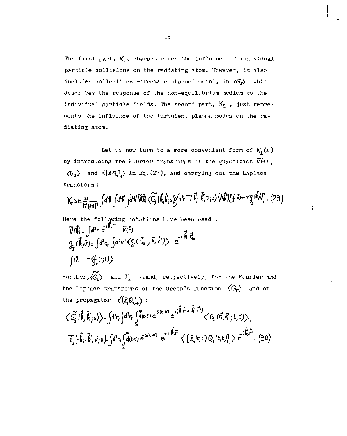The first part, *K<sup>t</sup> ,* characterizes the influence of individual particle collisions on the radiating atom. However, it also includes collectives effects contained mainly in *(C^)* which describes the response of the non-equilibrium medium to the individual particle fields. The second part,  $K_{\overline{p}}$ , just represents the influence of the turbulent plasma modes on the radiating atom.

Let us now turn to a more convenient form of  $K_I(s)$ by introducing the Fourier transforms of the quantities  $\bar{V}(4)$ ,  $\langle G_{\mathbf{r}} \rangle$  and  $\langle [\mathcal{Z}, Q_{\mathbf{r}}] \rangle$  in Eq.(27), and carrying out the Laplace transform :

$$
K_{r}(s) = \frac{N}{\hbar^{3}(2\pi)^{3}} \int d^{3}k \int d^{3}k' \int d^{4}k' \widetilde{M}\widetilde{N} \cdot (\widetilde{G}_{1}(\vec{k}_{1}\vec{k}_{1}s)) \int d^{3}v \, \text{Tr}(\vec{k}_{1}^{\dagger} - \vec{k}_{1}^{\dagger} \tilde{v}_{1}s) \, \widetilde{V}(\vec{k}^{\dagger}) \left[ f(\vec{w}) + N \frac{\sigma}{2} (\vec{k}_{1}^{\dagger} \vec{v}) \right]. \tag{29}
$$

Here the following notations have been used :

$$
\widetilde{V}(\vec{l}) = \int d^3r \ e^{-i\Re\cdot r} \overline{V}(r^2)
$$
\n
$$
g_{\vec{l}}(\vec{l},\vec{v}) = \int d^3r_{\vec{l}c} \int d^3v' \langle g(\vec{r}_{\vec{l}c},\vec{v},\vec{v}') \rangle e^{-i\vec{r}_{\vec{l}c}\cdot\vec{r}_{\vec{l}c}}
$$
\n
$$
f(\vec{v}) = \langle f_{\vec{r}}(r;t) \rangle
$$

Further, $\langle \widetilde{G}_{\mathbf{I}} \rangle$  and  $T_{\mathbf{I}}$  stand, respectively, for the Fourier and the Laplace transforms of the Green's function  $\langle G_{\Gamma} \rangle$  and of the propagator  $\langle (Z,\mathbb{Q}_n)_* \rangle$ :

$$
\langle \tilde{G}_{i}(\vec{k},\vec{k};s)\rangle = \int d^{3}r_{i}\int d^{3}r_{i}\int d(t,t)\tilde{e}^{5(t-t)}\tilde{e}^{i(\vec{k}\cdot\vec{r}+\vec{k}'\cdot\vec{r}')}\langle G_{i}\tilde{G}_{i}\tilde{G}_{i}\tilde{\tau}_{j}t, t'\rangle\rangle,
$$
\n
$$
\overline{T}_{i}(\tilde{k}_{i}\cdot\vec{k}',\vec{v}_{j}s)-\int d^{3}r_{i}\int d(t,t)\tilde{e}^{5(t-t')}e^{i(\vec{k}\cdot\vec{r})}\tilde{e}^{i(\vec{k}\cdot\vec{r})}\langle [Z_{i}(t,t')Q_{i}(t,t)]_{i}\rangle e^{i(\vec{k}\cdot\vec{r}')}. \tag{30}
$$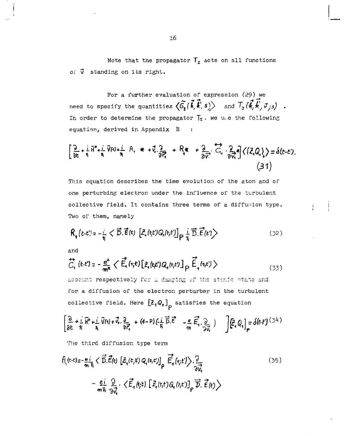Note that the propagator  $T_r$  acts on all functions of  $\vec{v}$  standing on its right.

For a further evaluation of expression (29) we need to specify the quantities  $\langle \hat{G}_1(\vec{k}, \vec{k}; s) \rangle$  and  $T_x(\vec{k}, \vec{k}; \vec{\sigma}_{j3})$ . In order to determine the propagator  $T_r$ . we use the following equation, derived in Appendix E  $\ddot{\phantom{0}}$ 

$$
\left[\frac{9}{8t}+\frac{1}{5}H^4+\frac{1}{5}V(4)+\frac{1}{7}H_1*+V_1\frac{9}{8H_1^2}+R_1*+\frac{9}{8V_1^2}H_2\frac{7}{8H_1^2}K_1(Z,Q_1)\right]=\delta(t-t).
$$
\n(31)

This equation describes the time evolution of the atom and of one perturbing electron under the influence of the turbulent collective field. It contains three terms of a diffusion type. Two of them, namely

$$
\mathsf{R}_{\mathsf{t}}\left(t\cdot t^{\prime}\right)=\frac{1}{\frac{1}{\lambda}}<\overrightarrow{\mathsf{D}}.\overrightarrow{\mathsf{E}}\left(t\right)\left[\mathcal{Z}_{\mathsf{t}}\left(t;t^{\prime}\right)Q_{\mathsf{t}}\left(t;t^{\prime}\right)\right]_{\mathsf{P}}\frac{1}{\frac{1}{\lambda}}\overrightarrow{\mathsf{D}}.\overrightarrow{\mathsf{E}}\left(t^{\prime}\right>\tag{32}
$$

and

$$
\overleftrightarrow{C}_{1}(t\cdot t') = -\frac{e^{2}}{m^{2}} \langle \overrightarrow{E}_{4}(t;t) [\overrightarrow{z}_{4}(t;t')Q_{4}(t;t')]_{\rho} \overrightarrow{\tilde{E}}_{4}(t,t') \rangle
$$
\n(33)

account respectively for a damping of the atomic state and for a diffusion of the electron perturber in the turbulent collective field. Here  $\begin{bmatrix} \mathbf{Z}_1 \mathbf{Q}_1 \end{bmatrix}$  satisfies the equation

$$
\left\{\begin{array}{lll}\frac{\partial}{\partial t}+\frac{i}{\hbar}\widehat{H}^{\rho}+\frac{j}{\hbar}\,\overline{V}(t)+\overrightarrow{V}_{t},\frac{\partial}{\partial\overrightarrow{r}_{t}}+(t-P)(\frac{i}{\hbar}\,\overrightarrow{\overrightarrow{D}}.\overrightarrow{E}^{2}-\frac{e}{r_{0}}\,\overrightarrow{E}_{t},\frac{\partial}{\partial\overrightarrow{V}_{t}})\end{array}\right)\quad\int\!\left[\widehat{E}_{\varepsilon}\,\Omega_{t}\right]_{\rho}=\delta(t-t)^{(\mathcal{I}^{\perp})}
$$

The third diffusion type term

$$
f\left(t-\xi\right) = -\frac{e_i}{m\bar{h}} \langle \vec{D}.\vec{E}(t) \left[ \vec{E}_1(t,t') \, Q_1(t,\xi') \right]_p \vec{E}_1(t,t') \rangle \cdot \frac{3}{2V} \tag{35}
$$
\n
$$
-\frac{e_i}{m\bar{h}} \frac{\partial}{\partial V_i} \langle \vec{E}_1(t,t') \left[ \vec{E}_1(t,t') \, Q_1(t,t') \right]_p \vec{D}.\vec{E}(t) \rangle
$$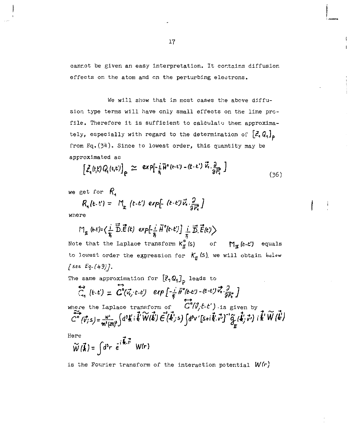cannot be given an easy interpretation. It contains diffusion effects on the atom and on the perturbing electrons.

We will show that in most cases the above diffusion type terms will have only small effects on the line profile. Therefore it is sufficient to calculate them approximately, especially with regard to the determination of  $\left[\mathcal{Z}, \mathbb{Q}_1\right]_p$ from  $Eq. (34)$ . Since to lowest order, this quantity may be approximated as

$$
\left[\tilde{\mathcal{L}}_{\mathbf{a}}(t,\mathbf{t})Q_{\mathbf{a}}(t,\mathbf{t})\right]_{\mathbf{P}} \simeq \exp[-\frac{1}{\mathbf{B}}\bar{\mathbf{H}}^{\mathbf{a}}(t-\mathbf{t}) - (t-\mathbf{t})\vec{V}_{\mathbf{a}}\cdot\frac{\partial}{\partial \vec{F}_{\mathbf{a}}}\right]
$$
 (36)

we get for  $R$ ,

$$
R_{\lambda}(t,t') = M_{\underline{r}}(t-t') \exp[-(t-t')\vec{v}_{\lambda}.\frac{\partial}{\partial \vec{r}_{\lambda}}]
$$

where

 $\mathbb{M}_{\pi}(\epsilon\epsilon)=\big\langle \frac{i}{\hbar}\overrightarrow{\tilde{D}}.\overrightarrow{\tilde{E}}(t)\exp[-\frac{i}{\hbar}\widetilde{H}^o(t\cdot t')\Big]\ \frac{i}{\hbar}\ \overrightarrow{\tilde{D}}.\overrightarrow{\tilde{E}}(t')\big\rangle$ Note that the Laplace transform  $K_\Pi^o(s)$  of  $M_\Pi(k-t')$  equals to lowest order the expression for  $K_{\pi}$  (s), we will obtain below *[set ^-(ifd)].* 

The same approximation for  $\left[\mathcal{Z},\mathbb{Q}_1\right]_p$  leads to

$$
\overline{C}_{\eta} (t \cdot t) = C^{\circ}(\overline{v}_{i}, t \cdot \overline{e}) \text{ exp} \left[ -\frac{1}{\overline{\eta}} \overline{H}^{\circ} (t \cdot \overline{e}) - (t \cdot \overline{e}) \overline{v}_{i}, \frac{\partial}{\partial \overline{r}_{i}} \right]
$$
\nwhere the Laplace transform of\n
$$
\overline{C}^{\circ} (\overline{v}_{i}, t - \overline{e})
$$
 is given by\n
$$
\overline{C}^{\circ} (\overline{v}_{i}, t) = \frac{v^{2}}{m^{2} (m)^{3}} \int d^{3}k' \overline{i} \overline{k'} \widetilde{W}(\overline{k}) \overline{E}^{\circ} (\overline{k'}; s) \int d^{3}v' \left[ 5 + i \overline{k} \cdot \overline{v'} \right]^{-1} \overline{G}^{\circ} (\overline{k'}; \overline{v'}) \overline{i} \overline{k'} \widetilde{W}(\overline{k'})
$$

Here

$$
\widetilde{W}(\vec{k}) = \int d^3r \ \vec{e}^{i\vec{k}\cdot\vec{r}} \ W(r)
$$

is the Fourier transform of the interaction potential *W(r)*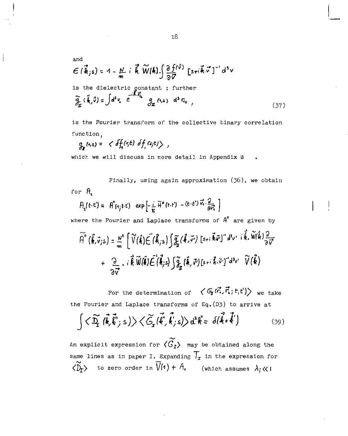and  
\n
$$
\mathcal{E}[\vec{k}_{j}s] = 4 - \frac{N}{m} + \vec{k} \ \widetilde{W}(k) \int \frac{\partial f^{(\vec{v})}}{\partial \vec{v}} [s + i\vec{k} \cdot \vec{v}]^{-1} d^{3}v
$$
\nis the dielectric constant ; further  
\n
$$
\widetilde{g}_{x}(\vec{k}, \vec{v}) = \int d^{3}v_{x} e^{-i\vec{k} \cdot \vec{r}_{k}} g_{x} (s_{i} \cdot) d^{3} \vec{v}_{z} , \qquad (37)
$$

is the Fourier transform of the collective binary correlation function,

$$
g_{\mathbf{r}}(s,\varepsilon) = \langle \delta f_{\mathbf{r}}(s;t) \delta f_{\mathbf{r}}(s;t) \rangle,
$$

Í

which we will discuss in more detail in Appendix B

Finally, using again approximation  $(36)$ , we obtain for A.

$$
H_2(t,t') = H^2(t_1,t,t') \exp\left[-\frac{t}{\hbar}\bar{H}^{\circ}(t,t') - (t-t')\vec{v}_1 \cdot \frac{\partial}{\partial \vec{r}_1}\right]
$$

where the Fourier and Laplace transforms of  $A^{\circ}$  are given by

$$
\widetilde{A}^{\circ}(\vec{k},\vec{v}_{jS}) = \frac{N^2}{m} \left[ \widetilde{V}(\vec{k}) \widetilde{\epsilon}(\vec{k}_{jS}) \int \widetilde{\mathcal{J}}_{\vec{n}}(\vec{k},\vec{v}) \left[ s_{+i} \vec{k} \vec{w} \right]^{*} d^{3}v' \right] \widetilde{\vec{k}}, \widetilde{W}(\vec{k}) \frac{2}{\partial \vec{v}} + \frac{Q}{\partial \vec{v}} \cdot i \vec{k} \widetilde{W}(\vec{k}) \widetilde{\epsilon}(\vec{k}_{jS}) \int \widetilde{\mathcal{J}}_{\vec{n}}(\vec{k},\vec{v}) \left[ s_{+i} \vec{k} \cdot \widetilde{v} \right]^{*} d^{3}v' \widetilde{V}(\vec{k})
$$

For the determination of  $\langle G_f(\vec{r}, \vec{r}; t, t') \rangle$  we take the Fourier and Laplace transforms of Eq.(D3) to arrive at

$$
\int \langle \widetilde{\mathbf{Q}}_{\mathbf{r}} \, (\vec{\mathbf{k}}, \vec{\mathbf{k}}^{\prime\prime}; s) \rangle \langle \widetilde{\mathbf{G}}_{\mathbf{r}} \, (\vec{\mathbf{k}}^{\prime\prime}, \vec{\mathbf{k}}^{\prime}; s) \rangle d^{3} \vec{\mathbf{k}}^{\prime} = \delta(\vec{\mathbf{k}} + \vec{\mathbf{k}}^{\prime}) \tag{39}
$$

An explicit expression for  $\langle \widetilde{G}_{I} \rangle$  may be obtained along the same lines as in paper I. Expanding  $\mathcal{T}_{\mathbf{r}}$  in the expression for  $\langle \widetilde{D}_{\Gamma}\rangle$  to zero order in  $\overline{V}(4)$  +  $A$ , (which assumes  $\lambda_i \ll 1$ 

IS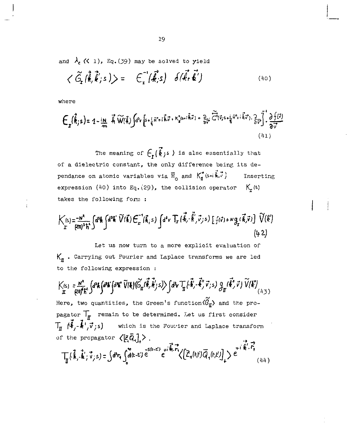and  $\lambda_c$   $\langle$   $\langle$  1), Eq. (39) may be solved to yield

$$
\langle \tilde{G}_{\mathbf{r}}(\vec{\mathbf{f}},\vec{\mathbf{f}}';s)\rangle = \mathbf{E}_{\mathbf{r}}^{-1}(\vec{\mathbf{f}},s) \delta(\vec{\mathbf{f}},\vec{\mathbf{f}}')
$$
 (40)

where

$$
\mathbf{E}_{\mathbf{x}}(\vec{k},\mathbf{s}) = 1 - \lim_{\epsilon \to 0^+} \vec{k} \cdot \widetilde{\mathsf{W}}(\vec{k}) \int d^4 v \left[ s + \frac{1}{8} \vec{n}^* + i \vec{k} \cdot \vec{v} + \kappa_{\mathbf{x}}^2 (s + i \vec{k} \cdot \vec{v}) + \frac{2}{3v^*} \cdot \overrightarrow{C}^2 (\vec{v}_i s + \frac{1}{8} \vec{n}^* + i \vec{k} \cdot \vec{v}), \frac{2}{3v^*} \right] \cdot \frac{\partial f(\vec{v})}{\partial \vec{v}} \tag{41}
$$

The meaning of  $\mathcal{E}_{r}(\vec{k})$  is also essentially that of a dielectric constant, the only difference being its dépendance on atomic variables via  $\overline{H}_{0}$  and  $K_{\overline{a}}^{(s+i\overline{b},\overline{c})}$  Inserting expression (40) into Eq.(29), the collision operator  $K_r(s)$ takes the following form :

$$
\begin{split} \big| \big| \big| \langle \xi \rangle = \frac{-N^2}{(2\eta)^3 \, \hbar^4} \bigg\{ d^3 \hbar \int d^3 \hbar' \widetilde{V}(\vec{k}) \, \widehat{\xi}^{-1}(\vec{k},s) \, \int d^4 v \, \overline{T}_r \left( \vec{k}, \vec{k}', \vec{v}_j, s \right) \bigg[ \, \hat{\xi}(\vec{v}) + N g_r(\vec{k},\vec{v}) \bigg] \, \widetilde{V}(\vec{k}') \big| \\ &\qquad \qquad \left( 4, 2 \right) \end{split}
$$

Let us now turn to a more explicit evaluation of  $K_{\pi}$  . Carrying out Fourier and Laplace transforms we are led to the following expression :

$$
\mathcal{K}_{\mathrm{m}}^{(s)} = \frac{N^*}{\varrho \eta^s \hbar^s} \int d^3k \int d^4k' \int d^4k' \ \widetilde{\mathcal{V}}(\pmb{\ell}) \langle \widetilde{G}_{\underline{n}}(\vec{\ell},\vec{\ell}^{\prime\prime}_y;\pmb{\ell}^{\prime\prime}_z) \rangle \int d^3\!\! \gamma \, \mathcal{T}_{\underline{n}}^{\prime} \langle \cdot \vec{\ell}^{\prime\prime}_y, \vec{\ell}^{\prime\prime}_y, \vec{\nu}_{\bar{\jmath}} \rangle \int_{\mathcal{H}} d\vec{\ell}^{\prime\prime}_y \, \widetilde{\mathcal{V}}^{\prime}(\vec{\ell}^{\prime\prime}_y) \ \widetilde{\mathcal{V}}(\vec{k}^{\prime}) \, \big( \mathcal{V}_{(\lambda, \bar{\jmath}\, )} \big)
$$

Here, two quantities, the Green's function  $\langle \tilde{G}_{\pi} \rangle$  and the propagator  $\overline{L}_{\overline{H}}$  remain to be determined. Let us first consider  $T_{\pi}$   $(\vec{\psi}, \vec{\psi}, \vec{v}; s)$  which is the Fourier and Laplace transform of the propagator  $\langle \bar{\xi} \bar{Q}_i \rangle$ .  $\rightarrow$   $\rightarrow$ 

$$
\text{Tr}\left\{\vec{k},\cdot\vec{k}^{\prime},\vec{v}_{j,s}\right\}=\int d^{3}r_{4}\int_{0}^{\infty}d(t-t^{\prime})\,e^{s(t-t^{\prime})}\,e^{st\cdot\vec{k}\cdot\vec{r}_{s}}\left\langle\left[\vec{Z}_{4}(t,t^{\prime})\vec{Q}_{4}(t,t^{\prime})\right]_{+}\right\rangle\,e^{t^{\prime\prime}\cdot\vec{k}^{\prime}\cdot\vec{r}_{4}^{\prime}}\qquad(44)
$$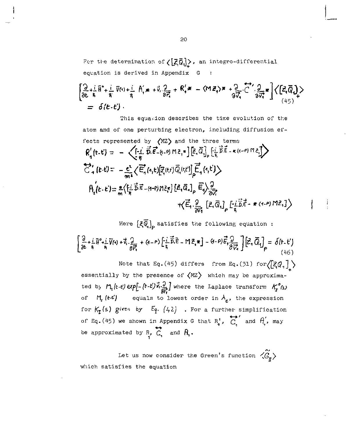For the determination of  $\langle \left[\vec{z}_i\vec{Q}_i\right]\rangle$ , an integro-differential equation is derived in Appendix G ÷

$$
\left[\begin{matrix}\n\frac{\partial}{\partial t} + i & \overline{H}^* + i & \overline{V}(t) + i & \overline{H}'(t) & \overline{H}'(t) & \overline{H}'(t) & \overline{H}'(t) & \overline{H}'(t) & \overline{H}'(t) & \overline{H}'(t) & \overline{H}'(t) & \overline{H}'(t) & \overline{H}'(t) & \overline{H}'(t) & \overline{H}'(t) & \overline{H}'(t) & \overline{H}'(t) & \overline{H}'(t) & \overline{H}'(t) & \overline{H}'(t) & \overline{H}'(t) & \overline{H}'(t) & \overline{H}'(t) & \overline{H}'(t) & \overline{H}'(t) & \overline{H}'(t) & \overline{H}'(t) & \overline{H}'(t) & \overline{H}'(t) & \overline{H}'(t) & \overline{H}'(t) & \overline{H}'(t) & \overline{H}'(t) & \overline{H}'(t) & \overline{H}'(t) & \overline{H}'(t) & \overline{H}'(t) & \overline{H}'(t) & \overline{H}'(t) & \overline{H}'(t) & \overline{H}'(t) & \overline{H}'(t) & \overline{H}'(t) & \overline{H}'(t) & \overline{H}'(t) & \overline{H}'(t) & \overline{H}'(t) & \overline{H}'(t) & \overline{H}'(t) & \overline{H}'(t) & \overline{H}'(t) & \overline{H}'(t) & \overline{H}'(t) & \overline{H}'(t) & \overline{H}'(t) & \overline{H}'(t) & \overline{H}'(t) & \overline{H}'(t) & \overline{H}'(t) & \overline{H}'(t) & \overline{H}'(t) & \overline{H}'(t) & \overline{H}'(t) & \overline{H}'(t) & \overline{H}'(t) & \overline{H}'(t) & \overline{H}'(t) & \overline{H}'(t) & \overline{H}'(t) & \overline{H}'(t) & \overline{H}'(t) & \overline{H}'(t) & \overline{H}'(t) & \overline{H}'(t) & \overline{H}'(t
$$

This equasion describes the time evolution of the atom and of one perturbing electron, including diffusion effects represented by (MZ) and the three terms  $R'_1(t-t) = -\left\langle \left[ -\frac{1}{\pi} \vec{D} \cdot \vec{E} - \left( -e \right) m \lambda \right] \cdot \left[ \vec{E} \cdot \vec{Q} \right] \right|_p \cdot \left[ -\frac{1}{\pi} \vec{D} \cdot \vec{E} - \kappa \left( \alpha - e \right) m \lambda \right]$  $\overleftrightarrow{C}_4(t,t)=\ -\frac{c^2}{m^4}\Big\langle \overrightarrow{E}_4(s,t)[\overrightarrow{z}_4(t,t)\overrightarrow{Q}_4(s,t)]\overrightarrow{\underline{E}}_4(s,t)\Big\rangle$  $A(t-t) = \frac{e}{\sqrt{\frac{t^2}{c^2}}} \left( \frac{1}{2} \vec{b} \vec{c} - (t-t) m \vec{c} \right) \left[ \vec{c} \cdot \vec{a} \right]_p \vec{c}$  $+\left\langle \vec{\xi}_{1} \cdot \frac{\partial}{\partial \vec{v}_{1}}\left[\vec{z}_{1} \vec{Q}_{1}\right]_{\rho}\left[-\frac{\vec{i} \cdot \vec{\xi}}{\hbar} \vec{\xi}-\#(4-\rho) \,M \vec{z}_{1}\right]\right\rangle$ 

## Here  $\left[\overline{\xi}\overline{\widetilde{\phi}}_i\right]_0$  satisfies the following equation:

$$
\left[\frac{\partial}{\partial t} + \frac{i}{\hbar} \vec{W}^a + \frac{i}{\hbar} \vec{V}(a) + \vec{V}_a \cdot \frac{\partial}{\partial \vec{r}_a} + (a - \rho) \left[\frac{i}{\hbar} \vec{B} \cdot \vec{E} - \vec{M} \cdot \vec{E}_a \cdot \vec{B}\right] - (a - \rho) \vec{E}_a \cdot \frac{\partial}{\partial \vec{V}_a}\right] \left[\vec{Z}_a \cdot \vec{Q}_1\right]_P = \delta(t, t')
$$
\nNote that Eq. (45) differs from Eq. (31) for  $\left(\left[\vec{Z}_a \cdot \vec{Q}_a\right]\right)$ ,  
\nessentially by the presence of  $\langle MZ \rangle$  which may be approxima-  
\nted by  $\vec{M}_i(t, t)$  *exp[- (t - t')\vec{K}\_i \frac{\partial}{\partial \vec{K}\_i}]* where the Laplace transform  $\vec{K}_i^a$  is  
\nof  $\vec{M}_i$  (t-t') equals to lowest order in  $\lambda_c$ , the expression  
\nfor  $\vec{K}_i$  (s) given by  $\vec{E}_i$ . (42). For a further simplification

of Eq. (45) we shown in Appendix G that  $R_i'$ ,  $C_i'$  and  $\theta_i'$ , may be approximated by  $F_2$ ,  $G_1$  and  $H_1$ .

Let us now consider the Green's function  $\langle \hat{G}_{\pi} \rangle$ which satisfies the equation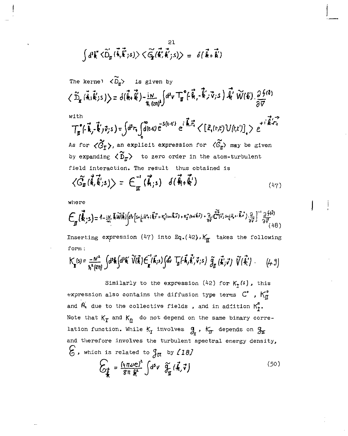$$
\int d^{3}\vec{k} \times \widetilde{D}_{\mathbf{r}}(\vec{k}, \vec{k} ; s) \times \widetilde{G}_{\mathbf{r}}(\vec{k}, \vec{k} ; s) \rangle = \delta(\vec{k} + \vec{k}')
$$

The kerne 
$$
-\langle \widetilde{D}_{\mathbf{r}} \rangle
$$
 is given by  
\n $\langle \widetilde{D}_{\mathbf{r}} (\vec{k}, \vec{k} \rangle s) \rangle = \delta(\vec{k} + \vec{k} \rangle - \frac{i}{\hbar} \frac{1}{(2\hbar)^3} \int d^3v \mathbf{T}_{\mathbf{r}}^{\bullet} (\epsilon \vec{k}, -\vec{k} \rangle \cdot \vec{v} ; s) \cdot \vec{k} \cdot \widetilde{W}(k) \cdot \frac{\partial f^{(3)}}{\partial \vec{v}}$   
\nwith  
\n
$$
\mathbf{T}_{\mathbf{r}}^{\bullet} (\epsilon \vec{k}, -\vec{k} \rangle \vec{v} ; s) = \int d^3r_1 \int d^4v \mathbf{r} \cdot e^{i \vec{k} \cdot \vec{r}} e^{i \vec{k} \cdot \vec{r}} \langle [z_1(r, t) U(r, t)] \rangle \cdot e^{i \vec{k} \cdot \vec{r} \cdot \vec{r}}
$$

As for  $\langle \tilde{G}_{\mathbf{I}} \rangle$ , an explicit expression for  $\langle \tilde{G}_{\mathbf{I}} \rangle$  may be given by expanding  $\langle \, \widetilde{D}_{\overline{n}} \rangle$  to zero order in the atom-turbulent field interaction. The result thus obtained is

$$
\langle \widetilde{G}_{\pi}(\vec{k},\vec{k}';s) \rangle = \mathcal{E}_{\pi}^{-1}(\vec{k};s) \quad d(\vec{k}+\vec{k}')
$$
 (47)

where

$$
E_{\pi}(\vec{k}_{\cdot,3}) = 1 - \frac{14}{27} \sqrt[3]{100} (\vec{k}) \left[ 3 \sqrt{5} + \frac{5}{6} \vec{n}^2 + \vec{k}^2 + \frac{1}{2} \vec{n}^2 + \vec{k}^2 + \frac{1}{2} \left( 3 \sqrt{5} + \sqrt{5} \right) + \frac{2}{9} \sqrt{5} \left( \vec{r}^2 + \sqrt{5} \cdot \vec{r} + \vec{k} \cdot \vec{r}^2 \right) - \frac{2}{9} \sqrt{5} \left( \frac{1}{4} \vec{r}^2 + \frac{1}{2} \vec{r}^2 + \frac{1}{2} \vec{r}^2 + \frac{1}{2} \vec{r}^2 + \frac{1}{2} \vec{r}^2 + \frac{1}{2} \vec{r}^2 + \frac{1}{2} \vec{r}^2 + \frac{1}{2} \vec{r}^2 + \frac{1}{2} \vec{r}^2 + \frac{1}{2} \vec{r}^2 + \frac{1}{2} \vec{r}^2 + \frac{1}{2} \vec{r}^2 + \frac{1}{2} \vec{r}^2 + \frac{1}{2} \vec{r}^2 + \frac{1}{2} \vec{r}^2 + \frac{1}{2} \vec{r}^2 + \frac{1}{2} \vec{r}^2 + \frac{1}{2} \vec{r}^2 + \frac{1}{2} \vec{r}^2 + \frac{1}{2} \vec{r}^2 + \frac{1}{2} \vec{r}^2 + \frac{1}{2} \vec{r}^2 + \frac{1}{2} \vec{r}^2 + \frac{1}{2} \vec{r}^2 + \frac{1}{2} \vec{r}^2 + \frac{1}{2} \vec{r}^2 + \frac{1}{2} \vec{r}^2 + \frac{1}{2} \vec{r}^2 + \frac{1}{2} \vec{r}^2 + \frac{1}{2} \vec{r}^2 + \frac{1}{2} \vec{r}^2 + \frac{1}{2} \vec{r}^2 + \frac{1}{2} \vec{r}^2 + \frac{1}{2} \vec{r}^2 + \frac{1}{2} \vec{r}^2 + \frac{1}{2} \vec{r}^2 + \frac{1}{2} \vec{r}^2 + \frac{1}{2} \vec{r}^2 + \
$$

Inserting expression (47) into Eq.(42),  $K_{\overline{n}}$  takes the following form :

$$
K_{\mathbf{J}}(s) = \frac{-N^2}{\hbar^2(\mathfrak{D}\eta)} \int d^3\mathbf{k} \int d^3\mathbf{k}' \widetilde{V}(\vec{\mathbf{k}}) \tilde{F}_{\mathbf{k}}'(\vec{\mathbf{k}};s) \int d\mathbf{v} \overline{T_{\mathbf{J}}(\vec{\mathbf{k}},\vec{\mathbf{k}}')} \widetilde{S}_{\mathbf{J}}(\vec{\mathbf{k}}; \vec{\mathbf{v}}) \widetilde{V}(\vec{\mathbf{k}}') \qquad (4.3)
$$

Similarly to the expression (42) for *Kr( s ) ,* this expression also contains the diffusion type terms  $C'$ ,  $K''_{II}$ and  $\hat{H}_1$  due to the collective fields, and in addition  $K_T^2$ . Note that  $K_{\overline{L}}$  and  $K_{\overline{R}}$  do not depend on the same binary correlation function. While  $K_f$  involves  $g_r$ ,  $K_f$  depends on  $g_r$ and therefore involves the turbulent spectral energy density,  $\mathcal{G}$ , which is related to  $\int_{\mathcal{H}}$  by  $\ell$ 18)

$$
\widehat{C}_{\vec{k}} = \frac{\left(\sqrt{q} \nu e\right)^2}{\sin k} \int d^5 v \quad \widetilde{\mathcal{H}}_m(\vec{k}, \vec{v}) \tag{50}
$$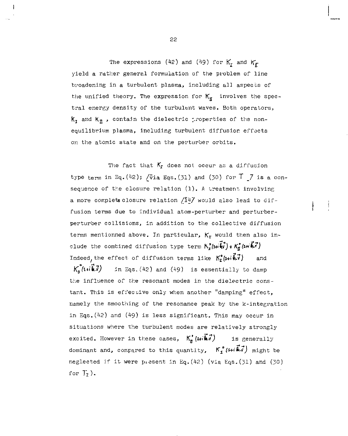The expressions (42) and (49) for  $K_r$  and  $K_F$ yield a rather general formulation of the problem of line broadening in a turbulent plasma, including all aspects of the unified theory. The expression for  $K_{\pi}$  involves the spectral energy density of the turbulent waves. Both operators,  $K_t$  and  $K_t$ , contain the dielectric properties of the nonequilibrium plasma, including turbulent diffusion effects on the atomic state and on the perturber orbits.

The fact that  $K_r$  does not occur as a diffusion type term in Eq.(42);  $\sqrt{v}$ ia Eqs.(31) and (30) for  $\overline{I}$   $\overline{I}$  is a consequence of the closure relation  $(1)$ . A treatment involving a more complete closure relation  $\sqrt{14}$  would also lead to diffusion terms due to individual atom-perturber and perturberperturber collisions, in addition to the collective diffusion terms mentionned above. In particular,  $K_r$  would then also include the combined diffusion type term  $K_1^2(\mu_1\vec{\hat{\theta}v}) + K_0^*(\mu_1\vec{\hat{\theta}v})$ Indeed, the effect of diffusion terms like  $K_r^{\bullet}(\mathbf{s}+\mathbf{i}\vec{\mathbf{k}}\cdot\vec{\mathbf{v}})$  and  $K_n^{\circ}(\mathfrak{su}\overline{k}.\overline{l})$  in Eqs.(42) and (49) is essentially to damp

the influence of the resonant modes in the dielectric constant. This is effective only when another "damping" effect, namely the smoothing of the resonance peak by the k-integratlon in Eqs.(42) and (49) is less significant. This may occur in situations where the turbulent modes are relatively strongly excited. However in these cases,  $K_n'$  ( $\overrightarrow{w}_n(\overrightarrow{w}_n)$  is generally dominant and, compared to this quantity,  $K_f^{\circ}(\mathsf{S}+i\vec{\mathbb{A}}\vec{J})$  might be neglected if it were piesent in Eq.(42) (via Eqs.(jl) and (JO) for  $T_r$ ).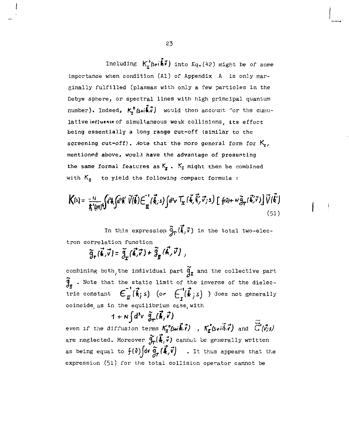Including  $K_r^{\circ}(\mathbf{s}t)\cdot\vec{k}$ , into Eq. (42) might be of some importance when condition (Al) of Appendix A is only marginally fulfilled (plasmas with only a few particles in the Debye sphere, or spectral lines with high principal quantum number). Indeed,  $K_r^0(s+1)$  would then account for the cumulative influence of simultaneous weak collisions, its effect being essentially a long range cut-off (similar to the screening cut-off). Note that the more general form for  $K_r$ , mentioned above, would have the advantage of presenting the same formal features as  $K_g$ .  $K_f$  might then be combined with  $K_{\text{B}}$  to yield the following compact formula :

$$
\mathbf{K}(s) = \frac{-N}{\hbar^2(\alpha\eta)} \Big\{ d^2\mathbf{k} \Big\{ d^3\mathbf{k}' \; \widetilde{V}(\vec{\mathbf{k}}) \big\{ \widetilde{\mathbf{C}}_{\vec{\mathbf{R}}}^{-1} (\vec{\mathbf{k}};s) \int d^3v \; \mathbf{T}_{\vec{\mathbf{R}}} (\vec{\mathbf{k}},\vec{\mathbf{k}}') \; \widetilde{\mathbf{C}}(s) \Big\} \; \left\{ f(\omega) + \omega \widetilde{g}_{\mathbf{T}} (\vec{\mathbf{k}}')^2 \right\} \widetilde{V}(\vec{\mathbf{k}}') \Big\}
$$

In this expression  $\tilde{g}_{\tau}(\vec{k},\vec{v})$  is the total two-electron correlation function

$$
\widetilde{\mathfrak{g}}_r(\vec{\boldsymbol{k}},\vec{v})=\widetilde{\mathfrak{g}}_r(\vec{\boldsymbol{k}},\vec{v})+\widetilde{\mathfrak{g}}_n(\vec{\boldsymbol{k}},\vec{v})\ ,
$$

combining both, the individual part  $\widetilde{g}_{r}$  and the collective part  $\widetilde{g}_n$  . Note that the static limit of the inverse of the dielectric constant  $\epsilon_n^{\dagger}(\vec{k},s)$  (or  $\epsilon^{\dagger}(\vec{k},s)$  ) does not generally coincide as in the equilibrium case, with

 $1+N(d^3v \tilde{q}_n(\vec{k},\vec{v}))$ even if the diffusion terms  $K_f^o(\omega, \vec{k}, \vec{r})$  ,  $K_f^o(\vec{k}, \vec{r})$  and  $\vec{C}^o(\vec{v}, s)$ are neglected. Moreover  $\hat{g}_r(\vec{k},\vec{v})$  cannot be generally written as being equal to  $f(\vec{v})$  over  $\vec{q}_r(\vec{k},\vec{v})$  . It thus appears that the expression (51) for the total collision operator cannot be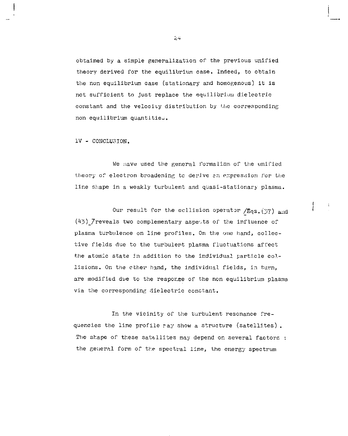obtained by a simple generalization of the previous unified theory derived for the equilibrium case. Indeed, to obtain the non equilibrium case (stationary and homogenous) it is not sufficient to just replace the equilibrium dielectric constant and the velocity distribution by the corresponding non equilibrium quantities.

IV - CONCLUSION.

We nave used the general formalism of the unified theory of electron broadening tc derive an expression l'or the line shape in a weakly turbulent and quasi-stationary plasma.

 $\mathbf{I}$ 

Our result for the collision operator  $/Eqs.$  (37) and  $(45)$  /reveals two complementary aspetts of the influence of plasma turbulence on line profiles. On the one hand, collective fields due to the turbulent plasma fluctuations affect the atomic state in addition to the individual particle collisions. On the ether hand, the individual fields, in turn, are modified due to the response of the non equilibrium plasma via the corresponding dielectric constant.

In the vicinity of the turbulent resonance frequencies the line profile ray show a structure (satellites) . The shape of these satellites may depend on several factors : the general form of the spectral line, the energy spectrum

 $\geq$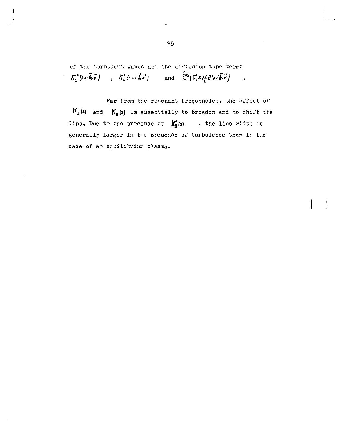of the turbulent waves and the diffusion type terms  $K_r^*(s+i\vec{k}\vec{v})$ ,  $K_{\vec{u}}(s+i\vec{k}\vec{v})$  and  $\widetilde{C}(\vec{v},s+\vec{k}\vec{v})$  $K_x^{\bullet}(\mathbf{s} \star (\vec{\mathbf{R}} \cdot \vec{v})$  ,  $K_y^{\bullet}(\mathbf{s} \star (\vec{\mathbf{k}} \cdot \vec{v}))$  $\mathbb{R}^2$ 

Par from the resonant frequencies, the effect of  $K_{\mathbf{r}}(s)$  and  $K_{\mathbf{r}}(s)$  is essentielly to broaden and to shift the line. Due to the presence of  $k_q(s)$ , the line width is generally larger in the presence of turbulenoe than in the case of an equilibrium plasma.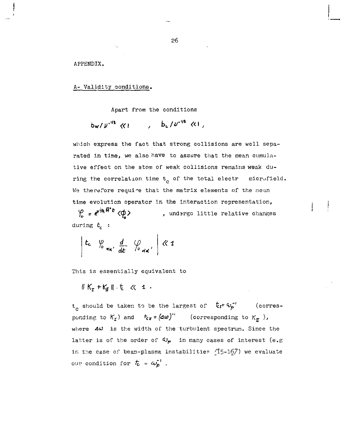APPENDIX.

A- Validity conditions.

Apart from the conditions

$$
b_w/v^{.95}
$$
  $\langle \langle 1, 1 \rangle$   $b_u/v^{.95}$   $\langle 1, 1 \rangle$ 

which express the fact that strong collisions are well separated in time, we also have to assure that the mean cumulative effect on the atom of weak collisions remains weak during the correlation time  $t_c$  of the total electr microfield. We therefore require that the matrix elements of the mean time evolution operator in the interaction representation,

 $\varphi = e^{i\hat{\psi}_s \hat{H}^* \xi} \langle \phi \rangle$ , undergo little relative changes during *t<sup>c</sup> :* 

 $|t_c \rangle$   $\frac{\varphi}{\sqrt{a}}$   $\frac{d}{dt}$   $\frac{\varphi}{\sqrt{a}}$   $\left| \frac{\varphi}{\varphi} \right|$ 

This is essentially equivalent to

 $\|K_{\tau}+K_{\tau}\|$   $t \leq 1$ .

 $t_c$  should be taken to be the largest of  $\bar{t}_{cr} = \omega_p^{-1}$  (corresponding to  $K_r$ ) and  $t_{cr} = \langle A w \rangle$  (corresponding to  $K_r$ ), where  $\Delta\omega$  is the width of the turbulent spectrum. Since the latter is of the order of  $\omega_{p}$  in many cases of interest (e.g in the case of beam-plasma instabilities  */l'^-l6y)* we evaluate our condition for  $\bar{t}_i = \omega_{\bar{p}}^{-1}$ .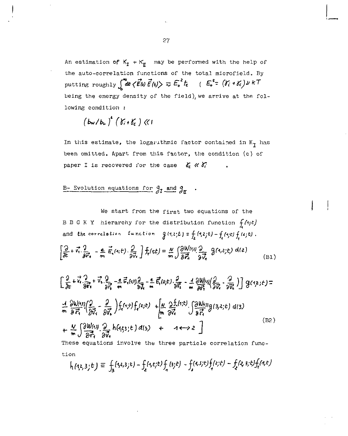An estimation of  $K_f + K_f$  may be performed with the help of the auto-correlation functions of the total microfield. By putting roughly  $\int^{\infty} dt \langle \vec{E_0} | \vec{E_1} | \rangle \approx E_0^2 t$   $\in$   $E_0^2$   $\in$   $(Y_i + Y_c) \cup K$ <sup>T</sup> being the energy density of the field), we arrive at the following condition :

$$
\left(b_{\mathbf{w}}/b_{\mathbf{r}}\right)^{2}\left(\gamma_{i}+\gamma_{c}\right)\ll1
$$

In this estimate, the logarithmic factor contained in  $K_{\mathbf{I}}$  has been omitted. Apart from this factor, the condition (c) of paper I is recovered for the case  $\delta_c \ll \delta_c$ 

## B- Evolution equations for  $g_t$  and  $g_r$ .

We start from the first two equations of the B B G K Y hierarchy for the distribution function *((ijt)*  and the correlation  $\int f(x,t)dx = \int f(x,t)dx$ ,  $\int f(x,t)dx = \int f(x,t)dx$ ,  $\int f(x,t)dx = 0$ .  $\frac{d}{dx} + \vec{v} \cdot \frac{d}{dx} = \pm \vec{v}_1(t_1) \cdot \frac{d}{dx}$   $\left[ \frac{f_1(t_1)}{x_1} - \frac{N}{x_1} \cdot \frac{S_1(t_1)}{s_1} \cdot \frac{S_2(t_1)}{s_1} \cdot \frac{S_1(t_1)}{s_1} \cdot \frac{S_2(t_1)}{s_1} \cdot \frac{S_1(t_1)}{s_1} \cdot \frac{S_1(t_1)}{s_1} \cdot \frac{S_1(t_1)}{s_1} \cdot \frac{S_1(t_1)}{s_1} \cdot \frac{S_1(t$ [at *»?,* " <sup>1</sup> *' •iï.y J nJsZ,* s?, (BI)  $\left[\frac{9}{25}+\frac{7}{16}\frac{9}{27}+\frac{7}{16}\frac{9}{27}-\frac{6}{16}\frac{2}{16}(41)\frac{9}{27}-\frac{6}{16}\frac{2}{5}(451)\frac{9}{27}-\frac{1}{47}\frac{919}{29}\frac{99}{27}-\frac{9}{27}\right]g(1,2;5)=$  $\frac{1}{m}\frac{\partial W^{(1)}(x)}{\partial \overrightarrow{n}}\left(\frac{\partial}{\partial \overrightarrow{v}_1}-\frac{\partial}{\partial \overrightarrow{v}_k}\right)f_x(\cdot;t)\right)+\int_{\mathbf{r}}(x;t)+\left|\frac{y}{m}\frac{\partial f_x(\cdot;t)}{\partial \overrightarrow{v}_k}\right]\frac{\partial W^{(1)}(x)}{\partial \overrightarrow{r}_k}(\mathbf{3},\mathbf{2};t) d(\mathbf{3})$  $+\frac{V}{m}\int\frac{\partial W(s)}{\partial t} \frac{\partial}{\partial s} h(s, s; t) d(s) + 4 \leftrightarrow 2$  (B2) These equations involve the three particle correlation function

$$
h_{1}(1,2,3; t) \equiv \int_{3} (1,2,3; t) - \int_{2} (1,2; t) \int_{4} (3; t) - \int_{2} (1,3; t) \int_{4} (2; t) - \int_{2} (2,3; t) \int_{4} (1, t)
$$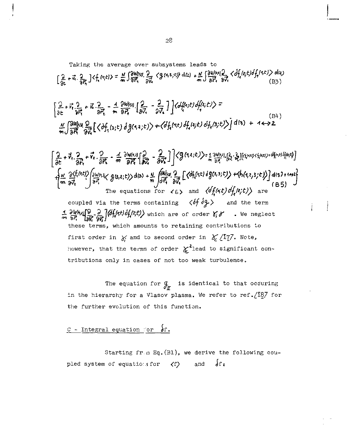Taking the average over subsystems leads to

$$
\left[\frac{2}{3c}+\vec{x}\cdot\frac{2}{3\vec{r}_{3}}\right] \langle f_{1}(r;t)\rangle = \frac{N}{m} \int \frac{\partial W(r)}{\partial \vec{r}_{3}} \cdot \frac{2}{2\vec{v}_{3}} \langle g(r,t,z;t)\rangle d(z) + \frac{N}{m} \int \frac{\partial W(r,t)}{\partial \vec{r}_{3}} \cdot \frac{2}{3\vec{v}_{3}} \langle f_{2}(t;t) \cdot \vec{f}_{1}(r,t) \rangle d(z) \tag{B5}
$$

$$
\begin{bmatrix} 2 + \vec{v}_1 \cdot \frac{2}{2\vec{v}_1} + \vec{u}_1 \cdot \frac{2}{2\vec{v}_1} - \frac{4}{\vec{v}_1} \cdot \frac{2W(v_1)}{8\vec{v}_1} \cdot \frac{2}{2\vec{v}_1} \cdot \frac{1}{2\vec{v}_1} \end{bmatrix} \cdot \begin{bmatrix} G_{1}^{L}(v,t) \cdot \frac{d}{dt}(t) \cdot \vec{v} \end{bmatrix} =
$$
\n
$$
\begin{bmatrix} 2 + \vec{v}_1 \cdot \frac{2}{2\vec{v}_1} \cdot \frac{d}{dt} \cdot \frac{2}{2\vec{v}_1} \cdot \frac{d}{dt} \cdot \frac{2}{2\vec{v}_1} \cdot \frac{d}{dt} \cdot \frac{d}{dt} \cdot \frac{d}{dt} \cdot \frac{d}{dt} \cdot \frac{d}{dt} \cdot \frac{d}{dt} \cdot \frac{d}{dt} \cdot \frac{d}{dt} \cdot \frac{d}{dt} \cdot \frac{d}{dt} \cdot \frac{d}{dt} \cdot \frac{d}{dt} \cdot \frac{d}{dt} \cdot \frac{d}{dt} \cdot \frac{d}{dt} \cdot \frac{d}{dt} \cdot \frac{d}{dt} \cdot \frac{d}{dt} \cdot \frac{d}{dt} \cdot \frac{d}{dt} \cdot \frac{d}{dt} \cdot \frac{d}{dt} \cdot \frac{d}{dt} \cdot \frac{d}{dt} \cdot \frac{d}{dt} \cdot \frac{d}{dt} \cdot \frac{d}{dt} \cdot \frac{d}{dt} \cdot \frac{d}{dt} \cdot \frac{d}{dt} \cdot \frac{d}{dt} \cdot \frac{d}{dt} \cdot \frac{d}{dt} \cdot \frac{d}{dt} \cdot \frac{d}{dt} \cdot \frac{d}{dt} \cdot \frac{d}{dt} \cdot \frac{d}{dt} \cdot \frac{d}{dt} \cdot \frac{d}{dt} \cdot \frac{d}{dt} \cdot \frac{d}{dt} \cdot \frac{d}{dt} \cdot \frac{d}{dt} \cdot \frac{d}{dt} \cdot \frac{d}{dt} \cdot \frac{d}{dt} \cdot \frac{d}{dt} \cdot \frac{d}{dt} \cdot \frac{d}{dt} \cdot \frac{d}{dt} \cdot \frac{d}{dt} \cdot \frac{d}{dt} \cdot \frac{d}{dt} \cdot \frac{d}{dt} \cdot \frac{d}{dt} \cdot \frac{
$$

$$
\begin{bmatrix}\n\frac{\partial}{\partial t} + \vec{v}_1 \cdot \frac{\partial}{\partial t} + \vec{v}_2 \cdot \frac{\partial}{\partial t} - \frac{1}{m} \frac{\partial W(t,1)}{\partial t} \cdot \frac{\partial}{\partial v} - \frac{1}{\partial v} \cdot \frac{\partial}{\partial t} \cdot \frac{\partial}{\partial t} \cdot \frac{\partial}{\partial t} \cdot \frac{\partial}{\partial t} \cdot \frac{\partial}{\partial t} \cdot \frac{\partial}{\partial t} \cdot \frac{\partial}{\partial t} \cdot \frac{\partial}{\partial t} \cdot \frac{\partial}{\partial t} \cdot \frac{\partial}{\partial t} \cdot \frac{\partial}{\partial t} \cdot \frac{\partial}{\partial t} \cdot \frac{\partial}{\partial t} \cdot \frac{\partial}{\partial t} \cdot \frac{\partial}{\partial t} \cdot \frac{\partial}{\partial t} \cdot \frac{\partial}{\partial t} \cdot \frac{\partial}{\partial t} \cdot \frac{\partial}{\partial t} \cdot \frac{\partial}{\partial t} \cdot \frac{\partial}{\partial t} \cdot \frac{\partial}{\partial t} \cdot \frac{\partial}{\partial t} \cdot \frac{\partial}{\partial t} \cdot \frac{\partial}{\partial t} \cdot \frac{\partial}{\partial t} \cdot \frac{\partial}{\partial t} \cdot \frac{\partial}{\partial t} \cdot \frac{\partial}{\partial t} \cdot \frac{\partial}{\partial t} \cdot \frac{\partial}{\partial t} \cdot \frac{\partial}{\partial t} \cdot \frac{\partial}{\partial t} \cdot \frac{\partial}{\partial t} \cdot \frac{\partial}{\partial t} \cdot \frac{\partial}{\partial t} \cdot \frac{\partial}{\partial t} \cdot \frac{\partial}{\partial t} \cdot \frac{\partial}{\partial t} \cdot \frac{\partial}{\partial t} \cdot \frac{\partial}{\partial t} \cdot \frac{\partial}{\partial t} \cdot \frac{\partial}{\partial t} \cdot \frac{\partial}{\partial t} \cdot \frac{\partial}{\partial t} \cdot \frac{\partial}{\partial t} \cdot \frac{\partial}{\partial t} \cdot \frac{\partial}{\partial t} \cdot \frac{\partial}{\partial t} \cdot \frac{\partial}{\partial t} \cdot \frac{\partial}{\partial t} \cdot \frac{\partial}{\partial t} \cdot \frac{\partial}{\partial t} \cdot \frac{\partial}{\partial t} \cdot \frac{\partial}{\partial t} \cdot \frac{\partial}{\partial t} \cdot \frac{\partial}{\partial t} \cdot \frac{\partial}{\partial t} \cdot \frac{\partial}{\partial t} \cdot \frac{\partial}{\partial t} \cdot \frac{\partial
$$

ì.

The equation for  $\frac{q}{\sqrt{x}}$  is identical to that occuring in the hierarchy for a Vlasov plasma. We refer to ref.  $/187$  for the further evolution of this function.

# $C$  - Integral equation for  $\delta r$ .

Starting fr.m Eq.(31), we derive the following coupled system of equations for  $\langle f \rangle$  and  $\int f$ :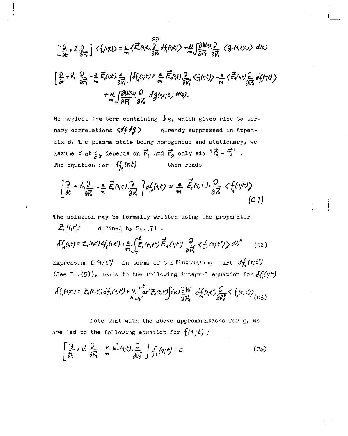$$
\left[\frac{2}{3c}+\vec{x}\cdot\frac{2}{3\vec{x}}\right] \langle f_1(\cdot;t)\rangle = \frac{e}{\pi} \langle \vec{E}_1(\cdot;t)\rangle \frac{29}{3\vec{x}} df_1(\cdot;t)\rangle + \frac{N}{\pi} \int \frac{\partial W_1(\cdot,t)}{\partial \vec{x}} \frac{2}{3\vec{x}} \langle f_2(\cdot,t;t)\rangle d(t)
$$
\n
$$
\left[\frac{2}{3c}+\vec{x}\cdot\frac{2}{3\vec{x}}\right] - \frac{e}{\pi} \vec{E}_1(\cdot;t)\cdot\frac{2}{3\vec{x}} \int df_1(\cdot;t) = \frac{e}{\pi} \vec{E}_1(\cdot,t)\cdot\frac{2}{3\vec{x}} \langle f_1(\cdot;t)\rangle - \frac{e}{\pi} \langle \vec{E}_1(\cdot;t)\cdot\frac{2}{3\vec{x}} df_1(\cdot;t)\rangle
$$
\n
$$
+ \frac{N}{\pi} \int \frac{\partial W_1(\cdot,t)}{\partial \vec{E}_1^2} \frac{\partial}{\partial \vec{x}} df_2(\cdot;t)\,d(\cdot;t).
$$

We neglect the term containing  $f_{g}$ , which gives rise to ternary correlations  $\langle \partial f \partial \zeta \rangle$ already suppressed in Appendix B. The plasma state being homogenous and stationary, we assume that  $g_I$  depends on  $\vec{r}_1$  and  $\vec{r}_2$  only via  $|\vec{r}_1 - \vec{r}_2|$ . The equation for  $\delta f_i(t)$ then reads

$$
\left[\frac{\partial}{\partial t} + \vec{v}, \frac{\partial}{\partial \vec{r}} - \frac{e}{m} \vec{E}_i(\gamma t) \frac{\partial}{\partial \vec{v}_i}\right] df_i(\gamma t) = \frac{e}{m} \vec{E}_i(\gamma t) \cdot \frac{\partial}{\partial \vec{v}_i} < f_i(\gamma t)
$$
\n(C1)

The solution may be formally written using the propagator

ł

$$
Z_{i}(t,t')
$$
 defined by Eq. (7):  
\n
$$
\delta f_{i}(t,t) = Z_{i}(t,t') \delta f_{i}(t,t') + \frac{e}{m} \int_{t'}^{t} Z_{i}(t,t'') \vec{E}_{i}(t,t'') \frac{\partial}{\partial \vec{U}} \langle f_{i}(t,t') \rangle dt''
$$
 (c2)  
\nExpressing  $E_{i}(t,t'')$  in terms of the fluctuating part  $\delta f_{i}(t,t')$   
\n(See Eq. (5)), leads to the following integral equation for  $\delta f_{i}(t,t)$ 

$$
\delta f_1(\gamma;t) = \frac{1}{2}(k,t^2)\delta f_1(\gamma;t^{\prime}) + \frac{N}{m}\int_{t^{\prime}} dt^{\prime\prime}\bar{f}_1(t,t^{\prime})\Big|d(t)\frac{\partial W}{\partial \bar{r}_1} \delta f_1(t;t^{\prime\prime})\frac{\partial}{\partial \bar{r}_2} < \int_{\gamma} (t_1;t^{\prime\prime}) \Big\rangle_{(C_{\beta})}
$$

Note that with the above approximations for g, we are led to the following equation for  $f_i(f; t)$ :

$$
\left[\frac{\partial}{\partial t} + \vec{v} \cdot \frac{\partial}{\partial \vec{r_1}} - \frac{e}{\mathfrak{m}} \vec{E_1}(t; t) \cdot \frac{\partial}{\partial \vec{v_1}} \right] f_1(\vec{r_1}; t) = 0 \tag{C4}
$$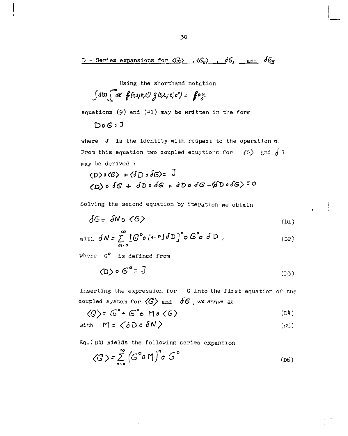D - Series expansions for  $\langle G_r \rangle$ ,  $\langle G_q \rangle$ ,  $\delta G_r$  and  $\delta G_r$ 

Using the shorthand notation

$$
\int d(s) \int_0^\infty dt' \; f(t,s,t,t') \; g(s,\epsilon,t',t') = f \circ \sigma.
$$

equations (9) and *(hi)* may be written in the form

 $DoG:J$ 

where J is the identity with respect to the operation  $\rho$ . From this equation two coupled equations for  $\zeta$ G, and  $\int$  G may be derived :

<"D> o S3 + ébo <f<3 t- JT> a tfG -(<ft> o cf<S> - O

Solving the second equation by iteration we obtain

$$
\delta G = \delta N_0 \langle G \rangle \tag{D1}
$$

with 
$$
\delta N = \sum_{m=0}^{\infty} \left[ G^{\circ} \circ [A - P] \delta D \right]^{n} \circ G^{\circ} \circ \delta D
$$
, (D2)

where  $G^o$  is defined from

$$
\langle D \rangle \circ G^{\bullet} = J \tag{D3}
$$

Inserting the expression for G into the first equation of the coupled system for *(G}* and *<f6* , we *arrive* at

$$
\langle G \rangle = G^{\circ} + G^{\circ} \circ \text{Mo} \langle G \rangle \tag{D4}
$$

with 
$$
M = \langle \delta D \circ \delta N \rangle
$$
 (D5)

Eq. ( $D4$ ) yields the following series expansion

$$
\langle G \rangle = \sum_{n=0}^{\infty} \left( G^{\circ} \circ \mathsf{M} \right)^{n} \circ G^{\circ}
$$
 (D6)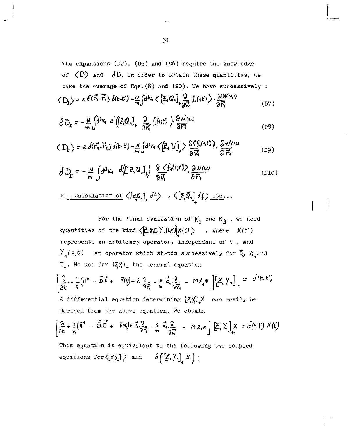The expansions (D2), (D5) and (D6) require the knowledge of  $\langle D \rangle$  and  $\langle JD$ . In order to obtain these quantities, we take the average of Eqs.(8) and (20). We have successively :

$$
\left\langle D_{1}\right\rangle = 26(\vec{r_{1}}\cdot\vec{r_{2}})\delta(t-t') - \frac{\alpha}{m}\int d^{3}x \left\langle \left[\vec{z_{1}}Q_{1}\right]_{+}\frac{\partial}{\partial\vec{r_{1}}}f_{1}(t')\right\rangle \cdot \frac{\partial W^{(1,1)}}{\partial\vec{r_{1}}} \tag{D7}
$$

$$
\delta D_{\mathbf{r}} = -\frac{N}{m} \int d^3 v_1 \ \delta \left( [\bar{z}, Q_1]_+ \frac{\partial}{\partial z_1} f_1(u; t') \right) \cdot \frac{\partial W(u, t)}{\partial \overline{r_1}} \tag{D8}
$$

$$
\langle D_{\mathbf{q}}\rangle = 2\delta(\vec{r_1}\cdot\vec{r_2})\delta(t\cdot t') - \frac{N}{m}\int d^3v_1 \langle \left[\vec{Z_1}U\right]_+ \rangle \frac{\partial \langle f_1(t_1t')\rangle}{\partial \vec{v_1}} \cdot \frac{\partial W(t_1t)}{\partial \vec{r_2}} \qquad (D9)
$$

$$
\delta D_g = -\frac{N}{m} \int d^3v_4 \, \delta(Ez_4 u)_+ \, \frac{\partial \zeta f_4(v,t)}{\partial \vec{v}_4} \, \frac{\partial w(u)}{\partial \vec{v}_4} \tag{D10}
$$

$$
\underline{E} - \underline{\text{Caiculation of}} \langle \left[\overline{z}_i \mathbb{Q}_i\right]_+ \delta f \rangle \rightarrow \langle \left[\overline{z}_i \overline{\mathbb{Q}}_i\right]_+ \delta f \rangle \underline{\text{etc.}} \cdots
$$

For the final evaluation of  $K_T$  and  $K_{\overline{H}}$ , we need quantities of the kind  $\langle \vec{F}_n(f_1f_2) \rangle / \langle f_2(f_3f_4)f_5(f_5f_6) \rangle$  , where  $X(f')$ represents an arbitrary operator, indépendant of t , and  $\mathcal{V}_{\mathcal{A}}(t,t')$  an operator which stands successively for  $\tilde{Q}_{\mathcal{A}}$   $Q_{\mathcal{A}}$  and  $U_{+}$ . We use for  $(\zeta\chi)_{+}$  the general equation  $\left[\frac{2}{\delta \epsilon} + \frac{1}{\hbar}(\bar{H}^{\circ} - \bar{B}\bar{E} + \bar{V}^{(1)}) + \bar{V}_{1}\frac{2}{\delta \bar{E}} - \frac{\epsilon}{\hbar} \bar{E}_{1}\frac{2}{\delta \bar{V}_{1}} - M\bar{E}_{1}\bar{K}\right]\left[\bar{E}_{1}\gamma_{1}\right]_{+} = d(t-t')$ A differential equation determining  $\frac{2}{\sqrt{2}}\times 2$  can easily be derived from the above equation. We obtain  $\left[\frac{2}{3c}+\frac{i}{\hbar}(\bar{h}^*-\vec{b}.\vec{E}+\vec{v}(0)+\vec{v},\frac{2}{3\vec{r}_1}-\frac{e}{m}\vec{e},\frac{2}{3\vec{r}_2}-m\vec{e}.\vec{\star}\right]\left[\vec{E},\vec{\chi}\right]_+X=\delta(h\cdot f)\cdot X(t)$ This equation is equivalent to the following two coupled equations  $\text{for} \langle [z, \gamma] \rangle$  and  $\delta([\zeta, \gamma] \times )$  ;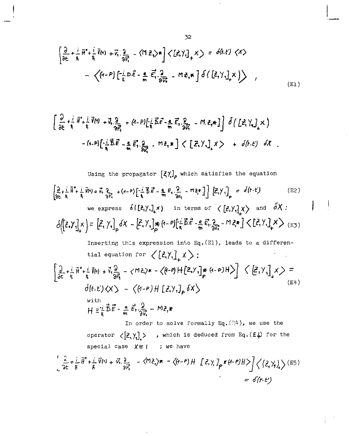$$
\left[\frac{\partial}{\partial t} + \frac{i}{\hbar} \overrightarrow{H}^* + \frac{i}{\hbar} \overrightarrow{V}(A) + \overrightarrow{V}_A \cdot \frac{\partial}{\partial \overrightarrow{r}} - \langle M \overrightarrow{Z}_A \rangle \ast \right] \langle [\overrightarrow{Z}_A \rangle_I]_+ \times \rangle = \delta(h \cdot t) \langle X \rangle
$$
  
-  $\langle (A - P) \left[ -\frac{i}{\hbar} D \overrightarrow{E} - \frac{e}{\hbar} \overrightarrow{E}_A \cdot \frac{\partial}{\partial \overrightarrow{V}_A} - M \overrightarrow{E}_A \ast \right] \delta \langle [\overrightarrow{Z}_A \rangle_I]_+ \rangle$  (E1)

$$
\left[\frac{\partial}{\partial t} + \frac{i}{\hbar} \vec{N}^* + \frac{i}{\hbar} \vec{V}(t) + \vec{V}_1 \frac{\partial}{\partial \vec{r}_1} + (t-P)\left[\frac{i}{\hbar} \vec{B}\vec{c} - \frac{e}{\hbar} \vec{E}_1 \cdot \frac{\partial}{\partial \vec{V}_1} - \vec{M} \cdot \vec{e}_1 \ast \vec{J}\right] \delta\left(\left[\vec{e}_1 \vec{V}_1\right] \times\right) - (t-P)\left[\frac{i}{\hbar} \vec{B}\vec{E} - \frac{e}{\hbar} \vec{E}_1 \cdot \frac{\partial}{\partial \vec{V}_1} - \vec{M} \cdot \vec{e}_1 \ast\vec{J}\right] \langle \left[\vec{E}_1 \vec{V}_1\right] \times \right) + \delta\left(t-\xi\right) \delta\mathcal{K}
$$

Using the propagator  $\left[\xi\gamma\right]_{\rho}$  which satisfies the equation

$$
\left\{\frac{3}{2k}+\frac{1}{k}\overrightarrow{H}^2+\frac{1}{k}\overrightarrow{V}(t)+\overrightarrow{V}_1,\frac{2}{2k^2}+(t-1)^2\left[\frac{1}{k}\overrightarrow{B}\cdot\overrightarrow{E}-\frac{6}{2m}E_1,\frac{2}{2N_1}-M\overrightarrow{E}^*]\right]\right\}\left[\overrightarrow{E}_1\overrightarrow{Y}_1\right]_p = d(t-t)
$$
\nwe express  $\delta\left\{\underline{E}_1\overrightarrow{Y}_1\right\}_x$  in terms of  $\left\{\underline{E}_1\overrightarrow{Y}_1\right\}_x$  and  $\overrightarrow{\delta X}$ :\n
$$
\delta\left(\left[\overrightarrow{E}_1\overrightarrow{Y}_1\right]_x\right) = \left[\overrightarrow{E}_1\overrightarrow{Y}_1\right]_p \delta X - \left[\overrightarrow{E}_1\overrightarrow{Y}_1\right]_{p}^{*}(t-1)\left[\frac{1}{k}\overrightarrow{B}\cdot\overrightarrow{E}-\frac{6}{2m}\overrightarrow{E}_1,\frac{2}{2m^2}-M\overrightarrow{E}_1^*\right] \left\langle \underline{E}_1\overrightarrow{Y}_1\right]_x \right\rangle = (E_2)
$$

Inserting this expression into Eq. (E1), leads to a differential equation for  $\left\langle \left[ \xi \right] \right\rangle _{+}\times$ :  $\left[\frac{\partial}{\partial \epsilon} + \frac{1}{\hbar} \tilde{H}^{\circ} + \frac{i}{\hbar} \tilde{V}(t) + \tilde{V}_t \frac{\partial}{\partial \tilde{H}_t} - \langle M \tilde{\epsilon}_t \rangle^{\kappa} - \langle \tilde{H} \cdot P \rangle + \left[ \tilde{\epsilon}_t \gamma_t \right]_{P}^{\kappa} (t - P) H \rangle \right] \langle \tilde{\epsilon}_t \rangle^{\kappa} \rangle =$ 

$$
d(t-t) \langle X \rangle - \langle (1-e)H [Z,Y, J_{\rho} \delta X \rangle
$$
\nwith  
\n
$$
H = \frac{1}{\hbar} \vec{B} \vec{E} - \frac{a}{m} \vec{E} \cdot \frac{\partial}{\partial \vec{x}} - M \vec{e} \cdot \vec{x}
$$
\n(64)

In order to solve formally Eq.  $(34)$ , we use the operator  $\langle \left[\vec{z}, \gamma_1\right] \rangle$  , which is deduced from Eq.  $(E4)$  for the special case  $X \equiv 1$  ; we have

$$
\left[\frac{\partial}{\partial t} + \frac{i}{\hbar} \vec{\theta}^{\circ} + \frac{i}{\hbar} \vec{V}(t) + \vec{v} \cdot \frac{\partial}{\partial \vec{r}} - \langle \vec{M} \cdot \vec{c} \rangle \times - \langle (\theta - \theta) H \quad [\vec{c}, \gamma] \rho^{\star} (\theta - \theta) H \rangle \right] \Big\langle (\vec{c}, \gamma) \Big\rangle \tag{E5}
$$
  
=  $\delta(t - \epsilon')$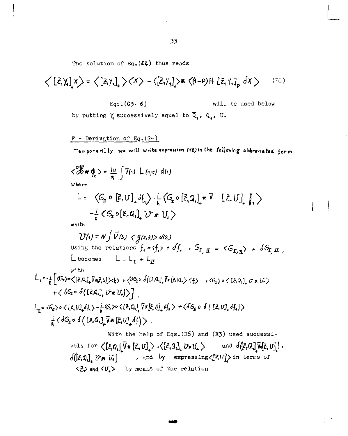The solution of  $Eq. (E4)$  thus reads

$$
\langle [Z,Y]_1 \times \rangle = \langle [Z,Y]_1 \rangle \langle X \rangle - \langle [Z,Y]_2 \rangle * \langle (1-P)H [Z,Y]_p \, dx \rangle
$$
\n(26)  
\nEqs. (03-6) will be used below  
\nby putting  $\chi$  successively equal to  $\overline{Q}_1$ ,  $Q_1$ ,  $U$ .  
\nF - Derivation of Eq. (24)  
\n
$$
\int \mathbf{F} \cdot \mathbf{F} \cdot \mathbf{F} \cdot \mathbf{F} \cdot \mathbf{F} \cdot \mathbf{F} \cdot \mathbf{F} \cdot \mathbf{F} \cdot \mathbf{F} \cdot \mathbf{F} \cdot \mathbf{F} \cdot \mathbf{F} \cdot \mathbf{F} \cdot \mathbf{F} \cdot \mathbf{F} \cdot \mathbf{F} \cdot \mathbf{F} \cdot \mathbf{F} \cdot \mathbf{F} \cdot \mathbf{F} \cdot \mathbf{F} \cdot \mathbf{F} \cdot \mathbf{F} \cdot \mathbf{F} \cdot \mathbf{F} \cdot \mathbf{F} \cdot \mathbf{F} \cdot \mathbf{F} \cdot \mathbf{F} \cdot \mathbf{F} \cdot \mathbf{F} \cdot \mathbf{F} \cdot \mathbf{F} \cdot \mathbf{F} \cdot \mathbf{F} \cdot \mathbf{F} \cdot \mathbf{F} \cdot \mathbf{F} \cdot \mathbf{F} \cdot \mathbf{F} \cdot \mathbf{F} \cdot \mathbf{F} \cdot \mathbf{F} \cdot \mathbf{F} \cdot \mathbf{F} \cdot \mathbf{F} \cdot \mathbf{F} \cdot \mathbf{F} \cdot \mathbf{F} \cdot \mathbf{F} \cdot \mathbf{F} \cdot \mathbf{F} \cdot \mathbf{F} \cdot \mathbf{F} \cdot \mathbf{F} \cdot \mathbf{F} \cdot \mathbf{F} \cdot \mathbf{F} \cdot \mathbf{F} \cdot \mathbf{F} \cdot \mathbf{F} \cdot \mathbf{F} \cdot \mathbf{F} \cdot \mathbf{F} \cdot \mathbf{F} \cdot \mathbf{F} \cdot \mathbf{F} \cdot \mathbf{F} \cdot \mathbf{F} \cdot \mathbf{F} \cdot \mathbf{F} \cdot \mathbf{F} \cdot \mathbf{F} \cdot \mathbf{F} \cdot \mathbf{F} \cdot \mathbf{F} \cdot \
$$

 $\overline{1}$ ļ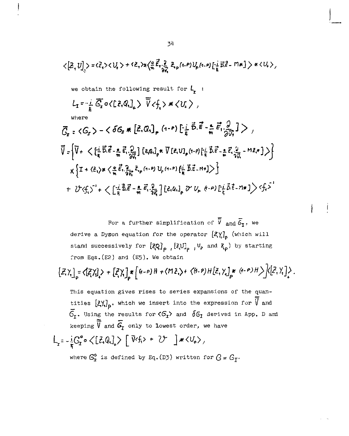$$
\langle [Z, U]_{y} \rangle = \langle \bar{Z}_{1} \rangle \langle U_{1} \rangle + \langle \bar{Z}_{1} \rangle \chi \langle \frac{\partial}{\partial t} \bar{E}_{1} \frac{\partial}{\partial t} Z_{p}(1-P)U_{p}(1-P) \left[ \frac{1}{h} \bar{E}_{n} \bar{E}_{2} - \Pi_{n} \right] \rangle \times \langle U_{1} \rangle,
$$
\nwe obtain the following result for  $L_{1}$ :  
\n
$$
L_{1} = -\frac{i}{h} \overline{G_{1}} \sigma \langle [Z, Q_{1}]_{+} \rangle \overline{V} \langle f_{1} \rangle \times \langle U_{1} \rangle ,
$$
\nwhere
$$
\overline{G}_{1} = \langle G_{1} \rangle - \langle \sigma G_{2} \times [Z, Q_{1}]_{p} (1-P) \left[ -\frac{i}{h} \overline{B} \cdot \overline{E} - \frac{e}{h} \overline{B}_{1} \frac{\partial}{\partial t} \right] \rangle ,
$$
\n
$$
\overline{V} = \Big\{ \overline{V} + \langle [ \frac{i}{h} \overline{B} \cdot \overline{E} - \frac{e}{h} \overline{B}_{1} \frac{\partial}{\partial t} \right] \Big[ \bar{E}_{q} Q_{1} \Big]_{p} \times \Big[ \bar{E}_{1} \cup [ \frac{i}{h} \overline{B} \cdot \overline{E} - \frac{e}{h} \overline{B}_{1} \frac{\partial}{\partial t} - \Pi_{1} \overline{B}_{1} \rangle \Big] \Big\}
$$
\n
$$
\times \Big\{ T + \langle Z_{1} \rangle \times \langle \frac{e}{h} \overline{E}_{1} \frac{\partial}{\partial t} \overline{E}_{1} \langle 1-P \rangle U_{p} (1-P) \Big[ \frac{i}{h} \overline{B} \cdot \overline{E} - \Pi_{1} \Big] \rangle \Big\}
$$
\n
$$
+ \langle Y \langle f_{1} \rangle \Big\rangle + \langle [ \frac{i}{h} \overline{B} \cdot \overline{E} - \frac{e}{h} \overline{E}_{1} \frac{\partial}{\partial t} \right] \Big[ \bar{E}_{q} (U_{1} \rangle \rangle \cdot V_{p} \langle 1-P \rangle \Big[ \frac{i}{h} \overline{B} \cdot \overline{E} - \Pi_{1}
$$

For a further simplification of  $\overline{\overline{V}}$  and  $\overline{\overline{G}}_1$ , we derive a Dyson equation for the operator  $\left[\mathcal{Z}\right]_{\rho}$  (which will stand successively for  $\left[\mathbf{Z}_{\mathbf{Q}}\right]_{\rho}$ ,  $\left[\mathbf{Z}_{\mathbf{U}}\right]_{\rho}$ ,  $V_{\rho}$  and  $Z_{\rho}$ ) by starting from Eqs. (E2) and (E5). We obtain

$$
\left[\mathcal{Z},\gamma\right]_{\rho}=\left\langle\left[\mathcal{Z},\gamma\right]\right\rangle+\left[\mathcal{Z},\gamma\right]_{\rho}*\left[\left\{a-\rho\right\}\right|H+\left\langle M\mathcal{Z},\right\rangle+\left\langle\left\{a-\rho\right\}\right|H\left[\mathcal{Z},\gamma\right]\right]_{\rho}*\left\langle\left\{a-\rho\right\}\right|H\right\rangle\left\langle\left\{Z,\gamma\right\}\right|_{\rho}.
$$

This equation gives rises to series expansions of the quantities  $[\xi \gamma_i]_p$ , which we insert into the expression for  $\overline{\overline{V}}$  and  $\overline{6}_r$ . Using the results for  $\langle 6_r \rangle$  and  $\delta 6_r$  derived in App. D and keeping  $\overline{\overline{V}}$  and  $\overline{G}_{I}$  only to lowest order, we have

$$
L_{\mathbf{r}} = -\frac{i}{\hbar} G_{\mathbf{r}}^{\circ} \circ \langle [ \vec{\ell}_{1} \mathbb{Q}_{1} ]_{\star} \rangle \left[ \vec{V} f_{1} \rangle + \mathcal{V} \right] \ast \langle U_{+} \rangle,
$$
  
where  $G_{\mathbf{r}}^{\circ}$  is defined by Eq. (D3) written for  $G = G_{\mathbf{r}}$ .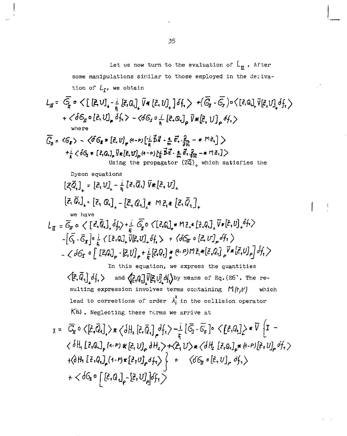Let us now turn to the evaluation of  $L_{\underline{n}}$ . After some manipulations similar to those employed in the derivation of  $L_I$ , we obtain

$$
L_{\pi} = \overline{G_{\pi}} \circ \langle [E \cup]_{\ast} - \frac{1}{h} [E, Q]_{\ast} \overline{V} * [E, U]_{\ast} ] df_{\ast} \rangle + (\overline{G_{\pi}} - \overline{G_{\pi}}) \circ \langle [E, Q]_{\ast} \overline{V} [E, U]_{\ast} df_{\ast} \rangle
$$
  
+  $\langle dG_{\pi} \circ [E, U]_{\ast} df_{\ast} \rangle - \langle dG_{\pi} \circ \frac{1}{h} [E, Q]_{\ast} \overline{V} * [E, U]_{\ast} df_{\ast} \rangle$   
where  

$$
\overline{G_{\pi}} = \langle G_{\pi} \rangle - \langle \partial G_{\pi} * [E, U]_{\ast} (h - P) [\frac{1}{h} \overline{B} \overline{B} - \frac{h}{h} \overline{B} \overline{B} - \frac{h}{h} \overline{B} \overline{B} \overline{B} - \frac{h}{h} \overline{B} \overline{B} \overline{B} \overline{B} - \frac{h}{h} \overline{B} \overline{B} \overline{B} \overline{B} \overline{B} \overline{B} \overline{B} - \frac{h}{h} \overline{B} \overline{B} \overline{B} \overline{B} \overline{B} \overline{B} \overline{B} \overline{B} \overline{B} \overline{B} \overline{B} \overline{B} \overline{B} \overline{B} \overline{B} \overline{B} \overline{B} \overline{B} \overline{B} \overline{B} \overline{B} \overline{B} \overline{B} \overline{B} \overline{B} \overline{B} \overline{B} \overline{B} \overline{B} \overline{B} \overline{B} \overline{B} \overline{B} \overline{B} \overline{B} \overline{B} \overline{B} \overline{B} \overline{B} \overline{B} \overline{B} \overline{B} \overline{B} \overline{B} \overline{B} \overline{B} \overline{B} \overline{B} \overline{B} \overline{B} \overline{B} \overline{B} \overline{B} \overline{B} \overline{B} \overline{B} \overline{
$$

lead to corrections of order  $\lambda_j^2$  in the collision operator K(s). Neglecting these forms we arrive at

$$
I = \overline{C}_{\pi} \circ \langle \hat{\ell}_{\tau} \overline{Q}_{t} \rangle_{\star} \times \langle \delta H_{z} [\hat{\ell}_{\tau} \overline{Q}_{t}]_{\rho} d_{1} \rangle - \frac{i}{\hbar} [\overline{C}_{J} - \overline{C}_{H}]_{0} \times [\hat{\ell}_{\tau} Q_{t}]_{\star} \times \overline{V} \left\{ I - \langle \delta H_{1} [\hat{\ell}_{\tau} Q_{t}]_{\rho} (1-P) \times [\hat{\ell}_{\tau} U]_{\rho} \delta H_{z} \rangle + \langle \hat{\ell}_{\tau} U \rangle_{\star} \langle \delta H_{z} [\hat{\ell}_{\tau} Q_{t}]_{\rho} \times (1-P) [\hat{\ell}_{\tau} U]_{\rho} d_{1} \rangle \right\} + \langle \delta H_{1} [\hat{\ell}_{\tau} Q_{t}]_{\rho} (1-P) \times [\hat{\ell}_{\tau} U]_{\rho} d_{1} \rangle + \langle \delta C_{\pi} \circ [\hat{\ell}_{\tau} U]_{\rho} d_{1} \rangle
$$
  
+  $\langle \delta C_{\pi} \circ [\hat{\ell}_{\tau} Q_{t}]_{\rho} - [\hat{\ell}_{\tau} U]_{\rho}] d_{1} \rangle$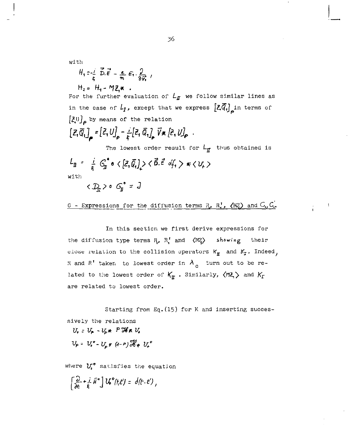with

$$
H_1 = \frac{1}{5} \overrightarrow{D} \cdot \overrightarrow{E} = \frac{1}{m} \overrightarrow{E_1} \cdot \frac{1}{2 \overrightarrow{V_1}}
$$

 $H_2 = H_1 - MZ_1$  .

For the further evaluation of  $L_{I\!I\!I}$  we follow similar lines as in the case of  $L_f$ , except that we express  $[\mathcal{Z} \overline{Q}_i]$  in terms of  $\left[\frac{\xi}{\omega}\right]_0$  by means of the relation  $[Z,\overline{Q}_n]_{\rho} = [Z,U]_{\rho} - \frac{1}{h}[Z,\overline{Q}_n]_{\rho} \overline{V} \star [\overline{c},U]_{\rho}$ .

The lowest order result for  $L_{\mathbf{F}}$  thus obtained is  $L_{\text{II}}$  -  $\frac{i}{h}$   $G_{\text{II}}^* \circ \langle [\mathcal{Z}, \bar{\mathcal{Q}}_t] \rangle \times \vec{6}$ .  $\vec{\epsilon}$   $\phi'_t$   $>$   $*\langle \nu_t \rangle$ with  $\langle D_{n}\rangle$  o  $G_{n}^{\circ} = J$ 

<u>G - Expressions for the diffusion terms R</u>,  $R_1$ ,  $\langle MZ \rangle$  and  $G_1$ ,  $C_2$ .

In this section we first derive expressions for the diffusion type terms R, R' and *(WZ)* showing their close relation to the collision operators  $K_{\text{F}}$  and  $K_{\text{I}}$ . Indeed, R and R' taken to lowest order in  $\lambda$  turn out to be related to the lowest order of  $K_{\pi}$ . Similarly,  $\langle MZ_{\tau}\rangle$  and  $K_{\Gamma}$ are related to lowest order.

Starting from Eq.(15) for K and inserting successively the relations  $U_r = U_r - V_{\mu}$  +  $P$  Ib +  $V_r$ 

VP= *V<sup>4</sup> '-irpr &-»)%!\* V,°* 

where *Vt°* satisfies the equation

$$
\left[\frac{\partial}{\partial t}+\frac{i}{\hbar}\bar{H}^{\circ}\right]U^{\circ}(t,t')=\delta(t-t'),
$$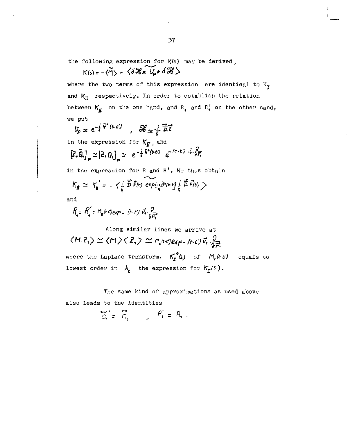the following expression for  $K(s)$  may be derived,

 $K(s) = -\langle \widetilde{M} \rangle - \langle \delta \mathcal{K} * U_{\rho} * \delta \mathcal{K} \rangle$ 

where the two terms of this expression are identical to  $K_T$ and  $K_{\overline{n}}$  respectively. In order to establish the relation between  $K_{\pi}$  on the one hand, and R<sub>1</sub> and R<sub>1</sub> on the other hand, we put

$$
U_{\rho} \propto e^{-\frac{i}{\hbar} \vec{H}^* (t-t')} , \quad \mathcal{H}_{\alpha} = \frac{i}{\hbar} \vec{D} . \vec{E}
$$
  
in the expression for  $K_{\vec{H}}$ , and  

$$
[\vec{E}, \vec{Q}_1]_{\rho} \propto [2, Q_1]_{\rho} \sim e^{-\frac{i}{\hbar} \vec{H}^* (t-t')} e^{-(t-t')} + \frac{\partial}{\partial F_1}
$$
  
in the expression for R and R'. We thus obtain

$$
\mathcal{K}_{\mathbf{g}} \simeq \mathcal{K}_{\mathbf{g}}^* = - \langle \frac{1}{t_i} \overrightarrow{\tilde{D}} \cdot \tilde{E}(t) \overrightarrow{\text{exp}[\frac{1}{t_i} \tilde{H}^2(t-t)]} \frac{1}{t_i} \overrightarrow{\tilde{D}} \cdot \tilde{E}(t) \rangle
$$

and

$$
R = R' = R_{\rm r} (k\epsilon) exp = (k \cdot \epsilon) \vec{v} \cdot \frac{\partial}{\partial \vec{r}}
$$

Along similar lines we arrive at  $\langle M.\bar{z}_1\rangle \simeq \langle M \rangle \langle \bar{z}_1 \rangle \simeq n_{\rm r}$ i+jexp-(t-t) $\vec{v}_1 \cdot \frac{2}{2\vec{E}_1}$ where the Laplace transform,  $K_r(s)$  of  $M_r(\varepsilon t)$  equals to lowest order in  $\lambda_c$  the expression for  $K_f(s)$ .

The same kind of approximations as used above also leads to the identities

$$
\overrightarrow{C_{i}} = \overrightarrow{C_{i}} \qquad \qquad \overrightarrow{A_{i}} = \overrightarrow{A_{i}}.
$$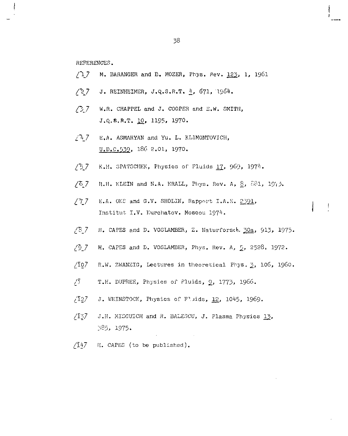REFERENCES.

- *[\7* M. BARANGER and E. MOZER, Phys. Rev. 122, *<sup>1</sup> '* 1961
- */ \ 7* J. REINHEIMER, J.Q.S.R.T. *±,* 671. '1964.
- /O 7 W.R. CHAPFEL and J. COOPER and E.W. SMITH, J.Q.S.R.T. 10, 1195, 1970.
- $/$ <sup>7</sup>  $/$ <sup>2</sup>  $/$ <sup>7</sup> E.A. ASMARYAN and Yu. L. KL1MONTOVICH, U.D.c.339, 136 2.01, 1970.
- *,'\7* K.H. SPATSCHEK, Physics of Fluids 17,, 969, 197'l.
- /5\_7 H.H. KLEIN and N.A. KRALL, Pliys. Rev. A, 8, *ai'-l,* 19',3.
- /77 E.A. OKS and G.V. SHOLIN, Rapport I.A.E. 2391, Institut I.V. Kurchatov. Moscou 1974.
- /B 7 H. CAPES and D. VOSLAMBER, Z. Naturforsch. 30a, 913, 1975.

 $\rightarrow$ 

- $/9$   $7$  H. CAPES and D. VOSLAMBER, Phys. Rev. A, 5, 2528. 1972.
- /Î07 R.W. ZWANZIG, Lectures in theoretical Phys. 2, 106, i960.
- $/$  $I$  T.H. DUPREE, Physics of Fluids,  $9$ , 1773, 1966.
- $/$ I27 J. WEINSTOCK, Physics of Fluids, 12, 1045, 1969.
- $/$ I37 J.H. MISGUICH and R. BALESCU, J. Plasma Physics 13, 335, 1975.
- /Î47 H. CAPES (to be published).